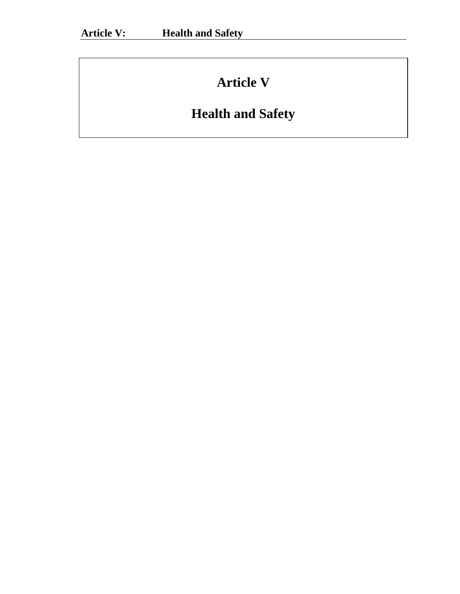# **Article V**

# **Health and Safety**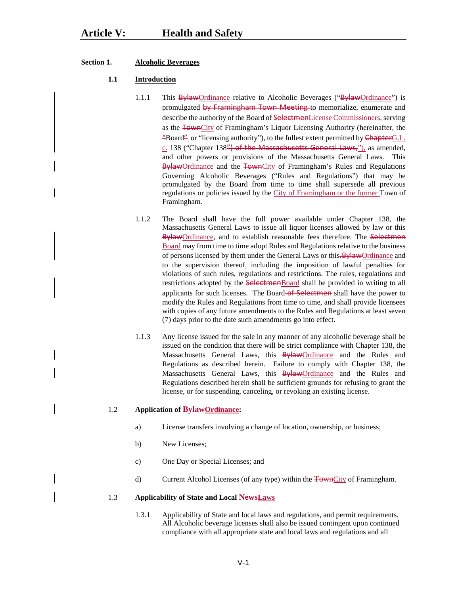# **Section 1. Alcoholic Beverages**

#### **1.1 Introduction**

- 1.1.1 This **BylawOrdinance** relative to Alcoholic Beverages ("BylawOrdinance") is promulgated by Framingham Town Meeting to memorialize, enumerate and describe the authority of the Board of SelectmenLicense Commissioners, serving as the FownCity of Framingham's Liquor Licensing Authority (hereinafter, the "Board" or "licensing authority"), to the fullest extent permitted by ChapterG.L. c. 138 ("Chapter 138") of the Massachusetts General Laws,"), as amended, and other powers or provisions of the Massachusetts General Laws. This BylawOrdinance and the TownCity of Framingham's Rules and Regulations Governing Alcoholic Beverages ("Rules and Regulations") that may be promulgated by the Board from time to time shall supersede all previous regulations or policies issued by the City of Framingham or the former Town of Framingham.
- 1.1.2 The Board shall have the full power available under Chapter 138, the Massachusetts General Laws to issue all liquor licenses allowed by law or this BylawOrdinance, and to establish reasonable fees therefore. The Selectmen Board may from time to time adopt Rules and Regulations relative to the business of persons licensed by them under the General Laws or this. By law Ordinance and to the supervision thereof, including the imposition of lawful penalties for violations of such rules, regulations and restrictions. The rules, regulations and restrictions adopted by the SelectmenBoard shall be provided in writing to all applicants for such licenses. The Board of Selectmen shall have the power to modify the Rules and Regulations from time to time, and shall provide licensees with copies of any future amendments to the Rules and Regulations at least seven (7) days prior to the date such amendments go into effect.
- 1.1.3 Any license issued for the sale in any manner of any alcoholic beverage shall be issued on the condition that there will be strict compliance with Chapter 138, the Massachusetts General Laws, this **BylawOrdinance** and the Rules and Regulations as described herein. Failure to comply with Chapter 138, the Massachusetts General Laws, this **Bylaw**Ordinance and the Rules and Regulations described herein shall be sufficient grounds for refusing to grant the license, or for suspending, canceling, or revoking an existing license.

#### 1.2 **Application of BylawOrdinance:**

- a) License transfers involving a change of location, ownership, or business;
- b) New Licenses;
- c) One Day or Special Licenses; and
- d) Current Alcohol Licenses (of any type) within the TownCity of Framingham.

#### 1.3 **Applicability of State and Local NewsLaws**

1.3.1 Applicability of State and local laws and regulations, and permit requirements. All Alcoholic beverage licenses shall also be issued contingent upon continued compliance with all appropriate state and local laws and regulations and all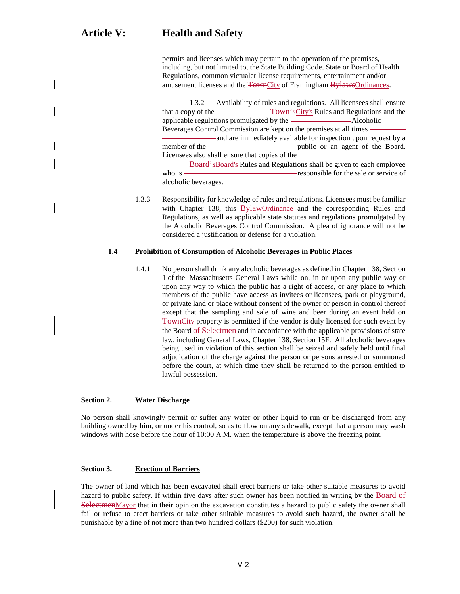permits and licenses which may pertain to the operation of the premises, including, but not limited to, the State Building Code, State or Board of Health Regulations, common victualer license requirements, entertainment and/or amusement licenses and the TownCity of Framingham BylawsOrdinances.

1.3.2 Availability of rules and regulations. All licensees shall ensure that a copy of the Town'sCity's Rules and Regulations and the applicable regulations promulgated by the Alcoholic Beverages Control Commission are kept on the premises at all times and are immediately available for inspection upon request by a member of the **public** or an agent of the Board. Licensees also shall ensure that copies of the Board'sBoard's Rules and Regulations shall be given to each employee who is  $\overline{\phantom{a}}$  responsible for the sale or service of

alcoholic beverages.

1.3.3 Responsibility for knowledge of rules and regulations. Licensees must be familiar with Chapter 138, this **BylawOrdinance** and the corresponding Rules and Regulations, as well as applicable state statutes and regulations promulgated by the Alcoholic Beverages Control Commission. A plea of ignorance will not be considered a justification or defense for a violation.

### **1.4 Prohibition of Consumption of Alcoholic Beverages in Public Places**

1.4.1 No person shall drink any alcoholic beverages as defined in Chapter 138, Section 1 of the Massachusetts General Laws while on, in or upon any public way or upon any way to which the public has a right of access, or any place to which members of the public have access as invitees or licensees, park or playground, or private land or place without consent of the owner or person in control thereof except that the sampling and sale of wine and beer during an event held on TownCity property is permitted if the vendor is duly licensed for such event by the Board of Selectmen and in accordance with the applicable provisions of state law, including General Laws, Chapter 138, Section 15F. All alcoholic beverages being used in violation of this section shall be seized and safely held until final adjudication of the charge against the person or persons arrested or summoned before the court, at which time they shall be returned to the person entitled to lawful possession.

#### **Section 2. Water Discharge**

No person shall knowingly permit or suffer any water or other liquid to run or be discharged from any building owned by him, or under his control, so as to flow on any sidewalk, except that a person may wash windows with hose before the hour of 10:00 A.M. when the temperature is above the freezing point.

#### **Section 3. Erection of Barriers**

The owner of land which has been excavated shall erect barriers or take other suitable measures to avoid hazard to public safety. If within five days after such owner has been notified in writing by the Board of SelectmenMayor that in their opinion the excavation constitutes a hazard to public safety the owner shall fail or refuse to erect barriers or take other suitable measures to avoid such hazard, the owner shall be punishable by a fine of not more than two hundred dollars (\$200) for such violation.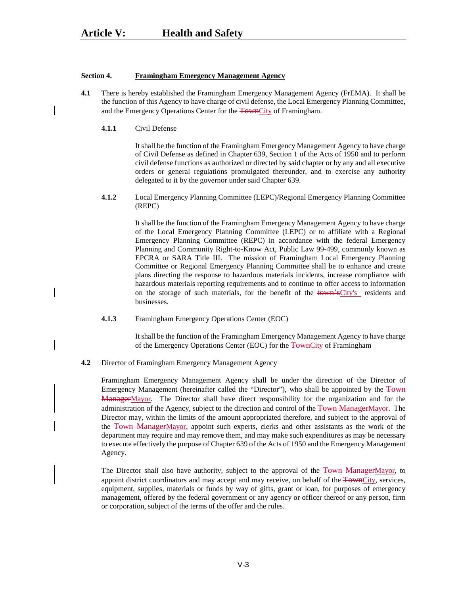#### **Section 4. Framingham Emergency Management Agency**

- **4.1** There is hereby established the Framingham Emergency Management Agency (FrEMA). It shall be the function of this Agency to have charge of civil defense, the Local Emergency Planning Committee, and the Emergency Operations Center for the TownCity of Framingham.
	- **4.1.1** Civil Defense

It shall be the function of the Framingham Emergency Management Agency to have charge of Civil Defense as defined in Chapter 639, Section 1 of the Acts of 1950 and to perform civil defense functions as authorized or directed by said chapter or by any and all executive orders or general regulations promulgated thereunder, and to exercise any authority delegated to it by the governor under said Chapter 639.

**4.1.2** Local Emergency Planning Committee (LEPC)/Regional Emergency Planning Committee (REPC)

> It shall be the function of the Framingham Emergency Management Agency to have charge of the Local Emergency Planning Committee (LEPC) or to affiliate with a Regional Emergency Planning Committee (REPC) in accordance with the federal Emergency Planning and Community Right-to-Know Act, Public Law 99-499, commonly known as EPCRA or SARA Title III. The mission of Framingham Local Emergency Planning Committee or Regional Emergency Planning Committee shall be to enhance and create plans directing the response to hazardous materials incidents, increase compliance with hazardous materials reporting requirements and to continue to offer access to information on the storage of such materials, for the benefit of the town'sCity's residents and businesses.

**4.1.3** Framingham Emergency Operations Center (EOC)

It shall be the function of the Framingham Emergency Management Agency to have charge of the Emergency Operations Center (EOC) for the TownCity of Framingham

**4.2** Director of Framingham Emergency Management Agency

Framingham Emergency Management Agency shall be under the direction of the Director of Emergency Management (hereinafter called the "Director"), who shall be appointed by the Town ManagerMayor. The Director shall have direct responsibility for the organization and for the administration of the Agency, subject to the direction and control of the Town ManagerMayor. The Director may, within the limits of the amount appropriated therefore, and subject to the approval of the Town ManagerMayor, appoint such experts, clerks and other assistants as the work of the department may require and may remove them, and may make such expenditures as may be necessary to execute effectively the purpose of Chapter 639 of the Acts of 1950 and the Emergency Management Agency.

The Director shall also have authority, subject to the approval of the Town ManagerMayor, to appoint district coordinators and may accept and may receive, on behalf of the TownCity, services, equipment, supplies, materials or funds by way of gifts, grant or loan, for purposes of emergency management, offered by the federal government or any agency or officer thereof or any person, firm or corporation, subject of the terms of the offer and the rules.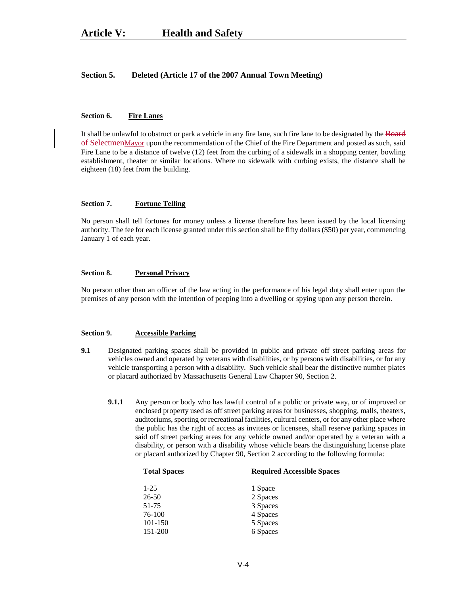#### **Section 5. Deleted (Article 17 of the 2007 Annual Town Meeting)**

# **Section 6. Fire Lanes**

It shall be unlawful to obstruct or park a vehicle in any fire lane, such fire lane to be designated by the Board of SelectmenMayor upon the recommendation of the Chief of the Fire Department and posted as such, said Fire Lane to be a distance of twelve (12) feet from the curbing of a sidewalk in a shopping center, bowling establishment, theater or similar locations. Where no sidewalk with curbing exists, the distance shall be eighteen (18) feet from the building.

#### **Section 7. Fortune Telling**

No person shall tell fortunes for money unless a license therefore has been issued by the local licensing authority. The fee for each license granted under this section shall be fifty dollars (\$50) per year, commencing January 1 of each year.

#### **Section 8. Personal Privacy**

No person other than an officer of the law acting in the performance of his legal duty shall enter upon the premises of any person with the intention of peeping into a dwelling or spying upon any person therein.

# **Section 9. Accessible Parking**

- **9.1** Designated parking spaces shall be provided in public and private off street parking areas for vehicles owned and operated by veterans with disabilities, or by persons with disabilities, or for any vehicle transporting a person with a disability. Such vehicle shall bear the distinctive number plates or placard authorized by Massachusetts General Law Chapter 90, Section 2.
	- **9.1.1** Any person or body who has lawful control of a public or private way, or of improved or enclosed property used as off street parking areas for businesses, shopping, malls, theaters, auditoriums, sporting or recreational facilities, cultural centers, or for any other place where the public has the right of access as invitees or licensees, shall reserve parking spaces in said off street parking areas for any vehicle owned and/or operated by a veteran with a disability, or person with a disability whose vehicle bears the distinguishing license plate or placard authorized by Chapter 90, Section 2 according to the following formula:

| <b>Total Spaces</b> | <b>Required Accessible Spaces</b> |  |
|---------------------|-----------------------------------|--|
| $1-25$              | 1 Space                           |  |
| 26-50               | 2 Spaces                          |  |
| 51-75               | 3 Spaces                          |  |
| 76-100              | 4 Spaces                          |  |
| 101-150             | 5 Spaces                          |  |
| 151-200             | 6 Spaces                          |  |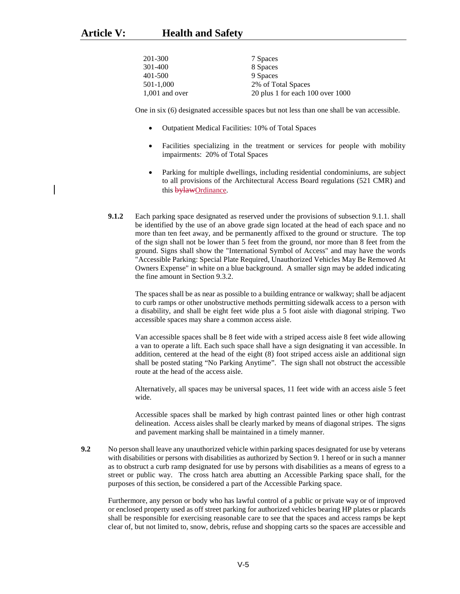| 201-300          | 7 Spaces                             |
|------------------|--------------------------------------|
| 301-400          | 8 Spaces                             |
| 401-500          | 9 Spaces                             |
| 501-1.000        | 2% of Total Spaces                   |
| $1,001$ and over | 20 plus 1 for each $100$ over $1000$ |

One in six (6) designated accessible spaces but not less than one shall be van accessible.

- Outpatient Medical Facilities: 10% of Total Spaces
- Facilities specializing in the treatment or services for people with mobility impairments: 20% of Total Spaces
- Parking for multiple dwellings, including residential condominiums, are subject to all provisions of the Architectural Access Board regulations (521 CMR) and this bylawOrdinance.
- **9.1.2** Each parking space designated as reserved under the provisions of subsection 9.1.1. shall be identified by the use of an above grade sign located at the head of each space and no more than ten feet away, and be permanently affixed to the ground or structure. The top of the sign shall not be lower than 5 feet from the ground, nor more than 8 feet from the ground. Signs shall show the "International Symbol of Access" and may have the words "Accessible Parking: Special Plate Required, Unauthorized Vehicles May Be Removed At Owners Expense" in white on a blue background. A smaller sign may be added indicating the fine amount in Section 9.3.2.

The spaces shall be as near as possible to a building entrance or walkway; shall be adjacent to curb ramps or other unobstructive methods permitting sidewalk access to a person with a disability, and shall be eight feet wide plus a 5 foot aisle with diagonal striping. Two accessible spaces may share a common access aisle.

Van accessible spaces shall be 8 feet wide with a striped access aisle 8 feet wide allowing a van to operate a lift. Each such space shall have a sign designating it van accessible. In addition, centered at the head of the eight (8) foot striped access aisle an additional sign shall be posted stating "No Parking Anytime". The sign shall not obstruct the accessible route at the head of the access aisle.

Alternatively, all spaces may be universal spaces, 11 feet wide with an access aisle 5 feet wide.

Accessible spaces shall be marked by high contrast painted lines or other high contrast delineation. Access aisles shall be clearly marked by means of diagonal stripes. The signs and pavement marking shall be maintained in a timely manner.

**9.2** No person shall leave any unauthorized vehicle within parking spaces designated for use by veterans with disabilities or persons with disabilities as authorized by Section 9. 1 hereof or in such a manner as to obstruct a curb ramp designated for use by persons with disabilities as a means of egress to a street or public way. The cross hatch area abutting an Accessible Parking space shall, for the purposes of this section, be considered a part of the Accessible Parking space.

Furthermore, any person or body who has lawful control of a public or private way or of improved or enclosed property used as off street parking for authorized vehicles bearing HP plates or placards shall be responsible for exercising reasonable care to see that the spaces and access ramps be kept clear of, but not limited to, snow, debris, refuse and shopping carts so the spaces are accessible and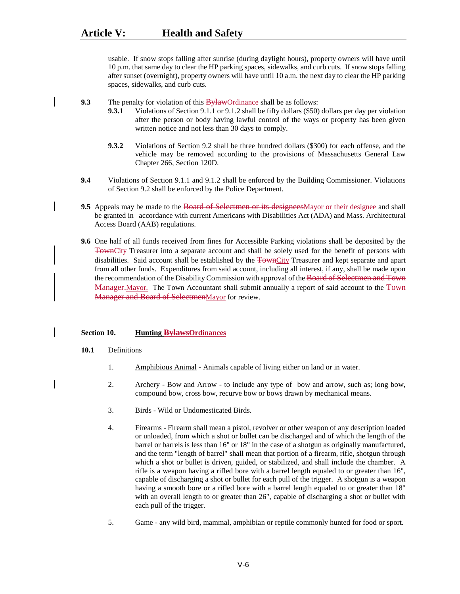usable. If snow stops falling after sunrise (during daylight hours), property owners will have until 10 p.m. that same day to clear the HP parking spaces, sidewalks, and curb cuts. If snow stops falling after sunset (overnight), property owners will have until 10 a.m. the next day to clear the HP parking spaces, sidewalks, and curb cuts.

**9.3** The penalty for violation of this **BylawOrdinance** shall be as follows:

- **9.3.1** Violations of Section 9.1.1 or 9.1.2 shall be fifty dollars (\$50) dollars per day per violation after the person or body having lawful control of the ways or property has been given written notice and not less than 30 days to comply.
- **9.3.2** Violations of Section 9.2 shall be three hundred dollars (\$300) for each offense, and the vehicle may be removed according to the provisions of Massachusetts General Law Chapter 266, Section 120D.
- **9.4** Violations of Section 9.1.1 and 9.1.2 shall be enforced by the Building Commissioner. Violations of Section 9.2 shall be enforced by the Police Department.
- **9.5** Appeals may be made to the Board of Selectmen or its designeesMayor or their designee and shall be granted in accordance with current Americans with Disabilities Act (ADA) and Mass. Architectural Access Board (AAB) regulations.
- **9.6** One half of all funds received from fines for Accessible Parking violations shall be deposited by the TownCity Treasurer into a separate account and shall be solely used for the benefit of persons with disabilities. Said account shall be established by the TownCity Treasurer and kept separate and apart from all other funds. Expenditures from said account, including all interest, if any, shall be made upon the recommendation of the Disability Commission with approval of the Board of Selectmen and Town Manager.Mayor. The Town Accountant shall submit annually a report of said account to the Town Manager and Board of SelectmenMayor for review.

#### **Section 10. Hunting BylawsOrdinances**

- **10.1** Definitions
	- 1. Amphibious Animal Animals capable of living either on land or in water.
	- 2. Archery Bow and Arrow to include any type of bow and arrow, such as; long bow, compound bow, cross bow, recurve bow or bows drawn by mechanical means.
	- 3. Birds Wild or Undomesticated Birds.
	- 4. Firearms Firearm shall mean a pistol, revolver or other weapon of any description loaded or unloaded, from which a shot or bullet can be discharged and of which the length of the barrel or barrels is less than 16" or 18" in the case of a shotgun as originally manufactured, and the term "length of barrel" shall mean that portion of a firearm, rifle, shotgun through which a shot or bullet is driven, guided, or stabilized, and shall include the chamber. A rifle is a weapon having a rifled bore with a barrel length equaled to or greater than 16", capable of discharging a shot or bullet for each pull of the trigger. A shotgun is a weapon having a smooth bore or a rifled bore with a barrel length equaled to or greater than 18" with an overall length to or greater than 26", capable of discharging a shot or bullet with each pull of the trigger.
	- 5. Game any wild bird, mammal, amphibian or reptile commonly hunted for food or sport.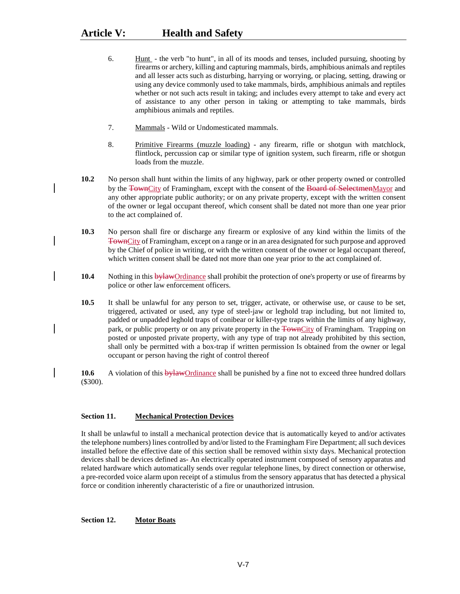- 6. Hunt the verb "to hunt", in all of its moods and tenses, included pursuing, shooting by firearms or archery, killing and capturing mammals, birds, amphibious animals and reptiles and all lesser acts such as disturbing, harrying or worrying, or placing, setting, drawing or using any device commonly used to take mammals, birds, amphibious animals and reptiles whether or not such acts result in taking; and includes every attempt to take and every act of assistance to any other person in taking or attempting to take mammals, birds amphibious animals and reptiles.
- 7. Mammals Wild or Undomesticated mammals.
- 8. Primitive Firearms (muzzle loading) any firearm, rifle or shotgun with matchlock, flintlock, percussion cap or similar type of ignition system, such firearm, rifle or shotgun loads from the muzzle.
- **10.2** No person shall hunt within the limits of any highway, park or other property owned or controlled by the TownCity of Framingham, except with the consent of the Board of SelectmenMayor and any other appropriate public authority; or on any private property, except with the written consent of the owner or legal occupant thereof, which consent shall be dated not more than one year prior to the act complained of.
- **10.3** No person shall fire or discharge any firearm or explosive of any kind within the limits of the TownCity of Framingham, except on a range or in an area designated for such purpose and approved by the Chief of police in writing, or with the written consent of the owner or legal occupant thereof, which written consent shall be dated not more than one year prior to the act complained of.
- **10.4** Nothing in this bylawOrdinance shall prohibit the protection of one's property or use of firearms by police or other law enforcement officers.
- **10.5** It shall be unlawful for any person to set, trigger, activate, or otherwise use, or cause to be set, triggered, activated or used, any type of steel-jaw or leghold trap including, but not limited to, padded or unpadded leghold traps of conibear or killer-type traps within the limits of any highway, park, or public property or on any private property in the TownCity of Framingham. Trapping on posted or unposted private property, with any type of trap not already prohibited by this section, shall only be permitted with a box-trap if written permission Is obtained from the owner or legal occupant or person having the right of control thereof

**10.6** A violation of this bylawOrdinance shall be punished by a fine not to exceed three hundred dollars (\$300).

# **Section 11. Mechanical Protection Devices**

It shall be unlawful to install a mechanical protection device that is automatically keyed to and/or activates the telephone numbers) lines controlled by and/or listed to the Framingham Fire Department; all such devices installed before the effective date of this section shall be removed within sixty days. Mechanical protection devices shall be devices defined as- An electrically operated instrument composed of sensory apparatus and related hardware which automatically sends over regular telephone lines, by direct connection or otherwise, a pre-recorded voice alarm upon receipt of a stimulus from the sensory apparatus that has detected a physical force or condition inherently characteristic of a fire or unauthorized intrusion.

**Section 12. Motor Boats**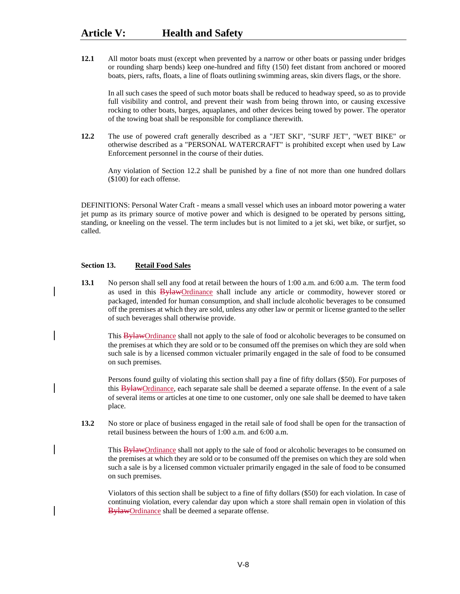**12.1** All motor boats must (except when prevented by a narrow or other boats or passing under bridges or rounding sharp bends) keep one-hundred and fifty (150) feet distant from anchored or moored boats, piers, rafts, floats, a line of floats outlining swimming areas, skin divers flags, or the shore.

In all such cases the speed of such motor boats shall be reduced to headway speed, so as to provide full visibility and control, and prevent their wash from being thrown into, or causing excessive rocking to other boats, barges, aquaplanes, and other devices being towed by power. The operator of the towing boat shall be responsible for compliance therewith.

**12.2** The use of powered craft generally described as a "JET SKI", "SURF JET", "WET BIKE" or otherwise described as a "PERSONAL WATERCRAFT" is prohibited except when used by Law Enforcement personnel in the course of their duties.

Any violation of Section 12.2 shall be punished by a fine of not more than one hundred dollars (\$100) for each offense.

DEFINITIONS: Personal Water Craft - means a small vessel which uses an inboard motor powering a water jet pump as its primary source of motive power and which is designed to be operated by persons sitting, standing, or kneeling on the vessel. The term includes but is not limited to a jet ski, wet bike, or surfjet, so called.

### **Section 13. Retail Food Sales**

**13.1** No person shall sell any food at retail between the hours of 1:00 a.m. and 6:00 a.m. The term food as used in this **BylawOrdinance** shall include any article or commodity, however stored or packaged, intended for human consumption, and shall include alcoholic beverages to be consumed off the premises at which they are sold, unless any other law or permit or license granted to the seller of such beverages shall otherwise provide.

This BylawOrdinance shall not apply to the sale of food or alcoholic beverages to be consumed on the premises at which they are sold or to be consumed off the premises on which they are sold when such sale is by a licensed common victualer primarily engaged in the sale of food to be consumed on such premises.

Persons found guilty of violating this section shall pay a fine of fifty dollars (\$50). For purposes of this BylawOrdinance, each separate sale shall be deemed a separate offense. In the event of a sale of several items or articles at one time to one customer, only one sale shall be deemed to have taken place.

**13.2** No store or place of business engaged in the retail sale of food shall be open for the transaction of retail business between the hours of 1:00 a.m. and 6:00 a.m.

This BylawOrdinance shall not apply to the sale of food or alcoholic beverages to be consumed on the premises at which they are sold or to be consumed off the premises on which they are sold when such a sale is by a licensed common victualer primarily engaged in the sale of food to be consumed on such premises.

Violators of this section shall be subject to a fine of fifty dollars (\$50) for each violation. In case of continuing violation, every calendar day upon which a store shall remain open in violation of this BylawOrdinance shall be deemed a separate offense.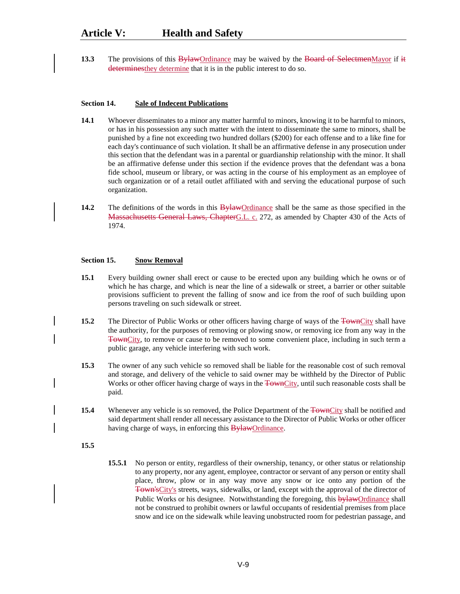**13.3** The provisions of this BylawOrdinance may be waived by the Board of SelectmenMayor if it determinesthey determine that it is in the public interest to do so.

### **Section 14. Sale of Indecent Publications**

- **14.1** Whoever disseminates to a minor any matter harmful to minors, knowing it to be harmful to minors, or has in his possession any such matter with the intent to disseminate the same to minors, shall be punished by a fine not exceeding two hundred dollars (\$200) for each offense and to a like fine for each day's continuance of such violation. It shall be an affirmative defense in any prosecution under this section that the defendant was in a parental or guardianship relationship with the minor. It shall be an affirmative defense under this section if the evidence proves that the defendant was a bona fide school, museum or library, or was acting in the course of his employment as an employee of such organization or of a retail outlet affiliated with and serving the educational purpose of such organization.
- **14.2** The definitions of the words in this **Bylaw**Ordinance shall be the same as those specified in the Massachusetts General Laws, ChapterG.L. c. 272, as amended by Chapter 430 of the Acts of 1974.

# **Section 15. Snow Removal**

- **15.1** Every building owner shall erect or cause to be erected upon any building which he owns or of which he has charge, and which is near the line of a sidewalk or street, a barrier or other suitable provisions sufficient to prevent the falling of snow and ice from the roof of such building upon persons traveling on such sidewalk or street.
- **15.2** The Director of Public Works or other officers having charge of ways of the TownCity shall have the authority, for the purposes of removing or plowing snow, or removing ice from any way in the TownCity, to remove or cause to be removed to some convenient place, including in such term a public garage, any vehicle interfering with such work.
- **15.3** The owner of any such vehicle so removed shall be liable for the reasonable cost of such removal and storage, and delivery of the vehicle to said owner may be withheld by the Director of Public Works or other officer having charge of ways in the TownCity, until such reasonable costs shall be paid.
- **15.4** Whenever any vehicle is so removed, the Police Department of the  $\overline{F(\text{1})}$  shall be notified and said department shall render all necessary assistance to the Director of Public Works or other officer having charge of ways, in enforcing this **BylawOrdinance**.
- **15.5**
- **15.5.1** No person or entity, regardless of their ownership, tenancy, or other status or relationship to any property, nor any agent, employee, contractor or servant of any person or entity shall place, throw, plow or in any way move any snow or ice onto any portion of the Town'sCity's streets, ways, sidewalks, or land, except with the approval of the director of Public Works or his designee. Notwithstanding the foregoing, this **bylawOrdinance** shall not be construed to prohibit owners or lawful occupants of residential premises from place snow and ice on the sidewalk while leaving unobstructed room for pedestrian passage, and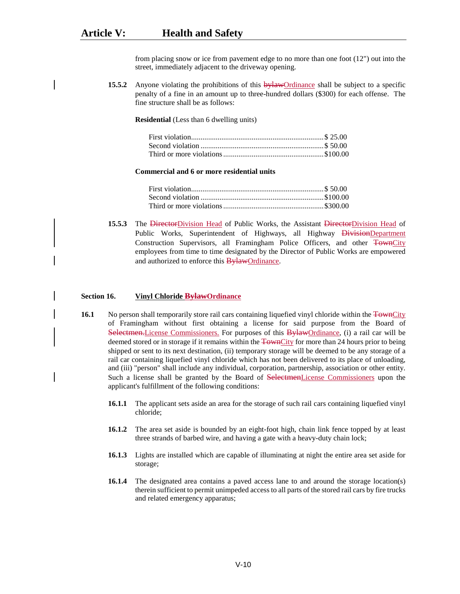from placing snow or ice from pavement edge to no more than one foot (12") out into the street, immediately adjacent to the driveway opening.

**15.5.2** Anyone violating the prohibitions of this by law Ordinance shall be subject to a specific penalty of a fine in an amount up to three-hundred dollars (\$300) for each offense. The fine structure shall be as follows:

**Residential** (Less than 6 dwelling units)

#### **Commercial and 6 or more residential units**

**15.5.3** The DirectorDivision Head of Public Works, the Assistant DirectorDivision Head of Public Works, Superintendent of Highways, all Highway DivisionDepartment Construction Supervisors, all Framingham Police Officers, and other TownCity employees from time to time designated by the Director of Public Works are empowered and authorized to enforce this BylawOrdinance.

#### **Section 16. Vinyl Chloride BylawOrdinance**

- **16.1** No person shall temporarily store rail cars containing liquefied vinyl chloride within the  $\overline{F}$ ownCity of Framingham without first obtaining a license for said purpose from the Board of Selectmen. License Commissioners. For purposes of this BylawOrdinance, (i) a rail car will be deemed stored or in storage if it remains within the TownCity for more than 24 hours prior to being shipped or sent to its next destination, (ii) temporary storage will be deemed to be any storage of a rail car containing liquefied vinyl chloride which has not been delivered to its place of unloading, and (iii) "person" shall include any individual, corporation, partnership, association or other entity. Such a license shall be granted by the Board of SelectmenLicense Commissioners upon the applicant's fulfillment of the following conditions:
	- **16.1.1** The applicant sets aside an area for the storage of such rail cars containing liquefied vinyl chloride;
	- **16.1.2** The area set aside is bounded by an eight-foot high, chain link fence topped by at least three strands of barbed wire, and having a gate with a heavy-duty chain lock;
	- **16.1.3** Lights are installed which are capable of illuminating at night the entire area set aside for storage;
	- **16.1.4** The designated area contains a paved access lane to and around the storage location(s) therein sufficient to permit unimpeded access to all parts of the stored rail cars by fire trucks and related emergency apparatus;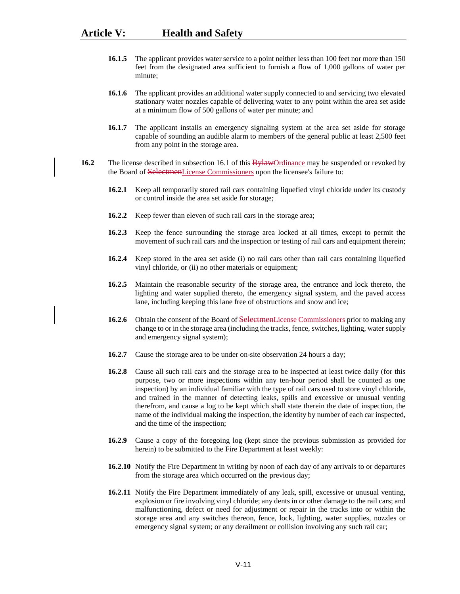- **16.1.5** The applicant provides water service to a point neither less than 100 feet nor more than 150 feet from the designated area sufficient to furnish a flow of 1,000 gallons of water per minute;
- **16.1.6** The applicant provides an additional water supply connected to and servicing two elevated stationary water nozzles capable of delivering water to any point within the area set aside at a minimum flow of 500 gallons of water per minute; and
- **16.1.7** The applicant installs an emergency signaling system at the area set aside for storage capable of sounding an audible alarm to members of the general public at least 2,500 feet from any point in the storage area.
- **16.2** The license described in subsection 16.1 of this **BylawOrdinance** may be suspended or revoked by the Board of SelectmenLicense Commissioners upon the licensee's failure to:
	- **16.2.1** Keep all temporarily stored rail cars containing liquefied vinyl chloride under its custody or control inside the area set aside for storage;
	- **16.2.2** Keep fewer than eleven of such rail cars in the storage area;
	- **16.2.3** Keep the fence surrounding the storage area locked at all times, except to permit the movement of such rail cars and the inspection or testing of rail cars and equipment therein;
	- **16.2.4** Keep stored in the area set aside (i) no rail cars other than rail cars containing liquefied vinyl chloride, or (ii) no other materials or equipment;
	- **16.2.5** Maintain the reasonable security of the storage area, the entrance and lock thereto, the lighting and water supplied thereto, the emergency signal system, and the paved access lane, including keeping this lane free of obstructions and snow and ice;
	- **16.2.6** Obtain the consent of the Board of SelectmenLicense Commissioners prior to making any change to or in the storage area (including the tracks, fence, switches, lighting, water supply and emergency signal system);
	- **16.2.7** Cause the storage area to be under on-site observation 24 hours a day;
	- **16.2.8** Cause all such rail cars and the storage area to be inspected at least twice daily (for this purpose, two or more inspections within any ten-hour period shall be counted as one inspection) by an individual familiar with the type of rail cars used to store vinyl chloride, and trained in the manner of detecting leaks, spills and excessive or unusual venting therefrom, and cause a log to be kept which shall state therein the date of inspection, the name of the individual making the inspection, the identity by number of each car inspected, and the time of the inspection;
	- **16.2.9** Cause a copy of the foregoing log (kept since the previous submission as provided for herein) to be submitted to the Fire Department at least weekly:
	- **16.2.10** Notify the Fire Department in writing by noon of each day of any arrivals to or departures from the storage area which occurred on the previous day;
	- **16.2.11** Notify the Fire Department immediately of any leak, spill, excessive or unusual venting, explosion or fire involving vinyl chloride; any dents in or other damage to the rail cars; and malfunctioning, defect or need for adjustment or repair in the tracks into or within the storage area and any switches thereon, fence, lock, lighting, water supplies, nozzles or emergency signal system; or any derailment or collision involving any such rail car;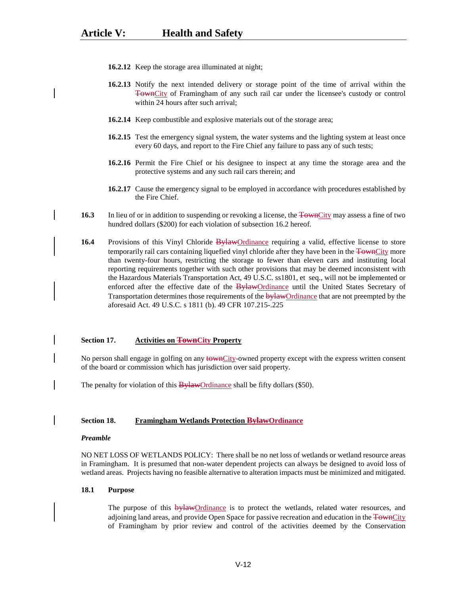- **16.2.12** Keep the storage area illuminated at night;
- **16.2.13** Notify the next intended delivery or storage point of the time of arrival within the TownCity of Framingham of any such rail car under the licensee's custody or control within 24 hours after such arrival;
- **16.2.14** Keep combustible and explosive materials out of the storage area;
- **16.2.15** Test the emergency signal system, the water systems and the lighting system at least once every 60 days, and report to the Fire Chief any failure to pass any of such tests;
- **16.2.16** Permit the Fire Chief or his designee to inspect at any time the storage area and the protective systems and any such rail cars therein; and
- **16.2.17** Cause the emergency signal to be employed in accordance with procedures established by the Fire Chief.
- **16.3** In lieu of or in addition to suspending or revoking a license, the TownCity may assess a fine of two hundred dollars (\$200) for each violation of subsection 16.2 hereof.
- **16.4** Provisions of this Vinyl Chloride BylawOrdinance requiring a valid, effective license to store temporarily rail cars containing liquefied vinyl chloride after they have been in the TownCity more than twenty-four hours, restricting the storage to fewer than eleven cars and instituting local reporting requirements together with such other provisions that may be deemed inconsistent with the Hazardous Materials Transportation Act, 49 U.S.C. ss1801, et seq., will not be implemented or enforced after the effective date of the BylawOrdinance until the United States Secretary of Transportation determines those requirements of the **bylaw**Ordinance that are not preempted by the aforesaid Act. 49 U.S.C. s 1811 (b). 49 CFR 107.215-.225

#### **Section 17. Activities on TownCity Property**

No person shall engage in golfing on any townCity-owned property except with the express written consent of the board or commission which has jurisdiction over said property.

The penalty for violation of this **BylawOrdinance** shall be fifty dollars (\$50).

#### **Section 18. Framingham Wetlands Protection BylawOrdinance**

#### *Preamble*

NO NET LOSS OF WETLANDS POLICY: There shall be no net loss of wetlands or wetland resource areas in Framingham. It is presumed that non-water dependent projects can always be designed to avoid loss of wetland areas. Projects having no feasible alternative to alteration impacts must be minimized and mitigated.

#### **18.1 Purpose**

The purpose of this  $\frac{by lawOrdinance}{by}$  is to protect the wetlands, related water resources, and adjoining land areas, and provide Open Space for passive recreation and education in the TownCity of Framingham by prior review and control of the activities deemed by the Conservation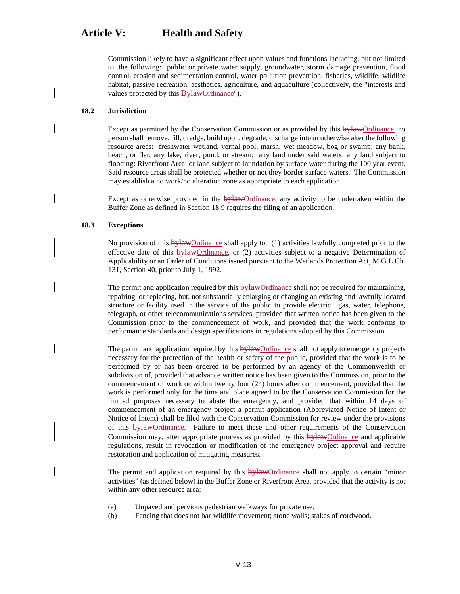Commission likely to have a significant effect upon values and functions including, but not limited to, the following: public or private water supply, groundwater, storm damage prevention, flood control, erosion and sedimentation control, water pollution prevention, fisheries, wildlife, wildlife habitat, passive recreation, aesthetics, agriculture, and aquaculture (collectively, the "interests and values protected by this **BylawOrdinance**").

# **18.2 Jurisdiction**

Except as permitted by the Conservation Commission or as provided by this bylawOrdinance, no person shall remove, fill, dredge, build upon, degrade, discharge into or otherwise alter the following resource areas: freshwater wetland, vernal pool, marsh, wet meadow, bog or swamp; any bank, beach, or flat; any lake, river, pond, or stream: any land under said waters; any land subject to flooding: Riverfront Area; or land subject to inundation by surface water during the 100 year event. Said resource areas shall be protected whether or not they border surface waters. The Commission may establish a no work/no alteration zone as appropriate to each application.

Except as otherwise provided in the **bylaw**Ordinance, any activity to be undertaken within the Buffer Zone as defined in Section 18.9 requires the filing of an application.

## **18.3 Exceptions**

No provision of this bylawOrdinance shall apply to: (1) activities lawfully completed prior to the effective date of this bylawOrdinance, or (2) activities subject to a negative Determination of Applicability or an Order of Conditions issued pursuant to the Wetlands Protection Act, M.G.L.Ch. 131, Section 40, prior to July 1, 1992.

The permit and application required by this bylawOrdinance shall not be required for maintaining, repairing, or replacing, but, not substantially enlarging or changing an existing and lawfully located structure or facility used in the service of the public to provide electric, gas, water, telephone, telegraph, or other telecommunications services, provided that written notice has been given to the Commission prior to the commencement of work, and provided that the work conforms to performance standards and design specifications in regulations adopted by this Commission.

The permit and application required by this **bylawOrdinance** shall not apply to emergency projects necessary for the protection of the health or safety of the public, provided that the work is to be performed by or has been ordered to be performed by an agency of the Commonwealth or subdivision of, provided that advance written notice has been given to the Commission, prior to the commencement of work or within twenty four (24) hours after commencement, provided that the work is performed only for the time and place agreed to by the Conservation Commission for the limited purposes necessary to abate the emergency, and provided that within 14 days of commencement of an emergency project a permit application (Abbreviated Notice of Intent or Notice of Intent) shall be filed with the Conservation Commission for review under the provisions of this **bylaw**Ordinance. Failure to meet these and other requirements of the Conservation Commission may, after appropriate process as provided by this bylawOrdinance and applicable regulations, result in revocation or modification of the emergency project approval and require restoration and application of mitigating measures.

The permit and application required by this **bylawOrdinance** shall not apply to certain "minor activities" (as defined below) in the Buffer Zone or Riverfront Area, provided that the activity is not within any other resource area:

- (a) Unpaved and pervious pedestrian walkways for private use.
- (b) Fencing that does not bar wildlife movement; stone walls; stakes of cordwood.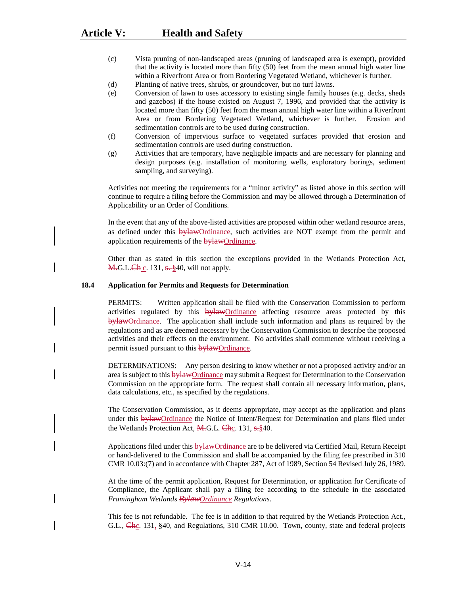- (c) Vista pruning of non-landscaped areas (pruning of landscaped area is exempt), provided that the activity is located more than fifty (50) feet from the mean annual high water line within a Riverfront Area or from Bordering Vegetated Wetland, whichever is further.
- (d) Planting of native trees, shrubs, or groundcover, but no turf lawns.
- (e) Conversion of lawn to uses accessory to existing single family houses (e.g. decks, sheds and gazebos) if the house existed on August 7, 1996, and provided that the activity is located more than fifty (50) feet from the mean annual high water line within a Riverfront Area or from Bordering Vegetated Wetland, whichever is further. Erosion and sedimentation controls are to be used during construction.
- (f) Conversion of impervious surface to vegetated surfaces provided that erosion and sedimentation controls are used during construction.
- (g) Activities that are temporary, have negligible impacts and are necessary for planning and design purposes (e.g. installation of monitoring wells, exploratory borings, sediment sampling, and surveying).

Activities not meeting the requirements for a "minor activity" as listed above in this section will continue to require a filing before the Commission and may be allowed through a Determination of Applicability or an Order of Conditions.

In the event that any of the above-listed activities are proposed within other wetland resource areas, as defined under this bylawOrdinance, such activities are NOT exempt from the permit and application requirements of the bylawOrdinance.

Other than as stated in this section the exceptions provided in the Wetlands Protection Act, **M.G.L.Ch** c. 131, s. §40, will not apply.

# **18.4 Application for Permits and Requests for Determination**

PERMITS: Written application shall be filed with the Conservation Commission to perform activities regulated by this **bylawOrdinance** affecting resource areas protected by this bylawOrdinance. The application shall include such information and plans as required by the regulations and as are deemed necessary by the Conservation Commission to describe the proposed activities and their effects on the environment. No activities shall commence without receiving a permit issued pursuant to this **bylaw**Ordinance.

DETERMINATIONS: Any person desiring to know whether or not a proposed activity and/or an area is subject to this **bylaw**Ordinance may submit a Request for Determination to the Conservation Commission on the appropriate form. The request shall contain all necessary information, plans, data calculations, etc., as specified by the regulations.

The Conservation Commission, as it deems appropriate, may accept as the application and plans under this bylawOrdinance the Notice of Intent/Request for Determination and plans filed under the Wetlands Protection Act, M.G.L. Chc. 131, s. §40.

Applications filed under this **bylawOrdinance** are to be delivered via Certified Mail, Return Receipt or hand-delivered to the Commission and shall be accompanied by the filing fee prescribed in 310 CMR 10.03:(7) and in accordance with Chapter 287, Act of 1989, Section 54 Revised July 26, 1989.

At the time of the permit application, Request for Determination, or application for Certificate of Compliance, the Applicant shall pay a filing fee according to the schedule in the associated *Framingham Wetlands BylawOrdinance Regulations*.

This fee is not refundable. The fee is in addition to that required by the Wetlands Protection Act., G.L., Chc. 131, §40, and Regulations, 310 CMR 10.00. Town, county, state and federal projects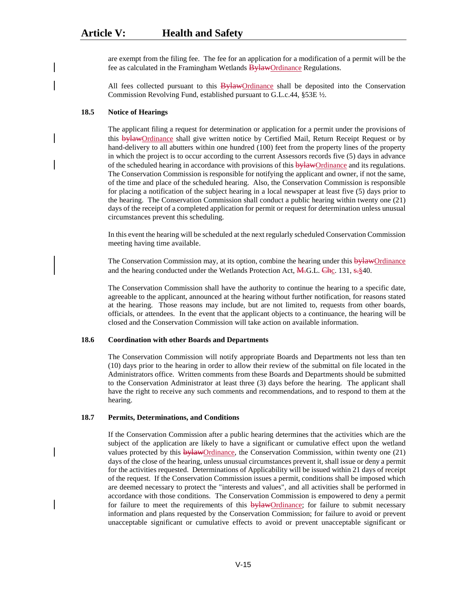are exempt from the filing fee. The fee for an application for a modification of a permit will be the fee as calculated in the Framingham Wetlands **Bylaw**Ordinance Regulations.

All fees collected pursuant to this **BylawOrdinance** shall be deposited into the Conservation Commission Revolving Fund, established pursuant to G.L.c.44, §53E ½.

# **18.5 Notice of Hearings**

The applicant filing a request for determination or application for a permit under the provisions of this bylawOrdinance shall give written notice by Certified Mail, Return Receipt Request or by hand-delivery to all abutters within one hundred (100) feet from the property lines of the property in which the project is to occur according to the current Assessors records five (5) days in advance of the scheduled hearing in accordance with provisions of this bylawOrdinance and its regulations. The Conservation Commission is responsible for notifying the applicant and owner, if not the same, of the time and place of the scheduled hearing. Also, the Conservation Commission is responsible for placing a notification of the subject hearing in a local newspaper at least five (5) days prior to the hearing. The Conservation Commission shall conduct a public hearing within twenty one (21) days of the receipt of a completed application for permit or request for determination unless unusual circumstances prevent this scheduling.

In this event the hearing will be scheduled at the next regularly scheduled Conservation Commission meeting having time available.

The Conservation Commission may, at its option, combine the hearing under this bylawOrdinance and the hearing conducted under the Wetlands Protection Act,  $\overline{M}$ , G.L.  $\overline{Ch}$ <sub>C</sub>. 131,  $\overline{s}$ , §40.

The Conservation Commission shall have the authority to continue the hearing to a specific date, agreeable to the applicant, announced at the hearing without further notification, for reasons stated at the hearing. Those reasons may include, but are not limited to, requests from other boards, officials, or attendees. In the event that the applicant objects to a continuance, the hearing will be closed and the Conservation Commission will take action on available information.

### **18.6 Coordination with other Boards and Departments**

The Conservation Commission will notify appropriate Boards and Departments not less than ten (10) days prior to the hearing in order to allow their review of the submittal on file located in the Administrators office. Written comments from these Boards and Departments should be submitted to the Conservation Administrator at least three (3) days before the hearing. The applicant shall have the right to receive any such comments and recommendations, and to respond to them at the hearing.

# **18.7 Permits, Determinations, and Conditions**

If the Conservation Commission after a public hearing determines that the activities which are the subject of the application are likely to have a significant or cumulative effect upon the wetland values protected by this **bylaw**Ordinance, the Conservation Commission, within twenty one (21) days of the close of the hearing, unless unusual circumstances prevent it, shall issue or deny a permit for the activities requested. Determinations of Applicability will be issued within 21 days of receipt of the request. If the Conservation Commission issues a permit, conditions shall be imposed which are deemed necessary to protect the "interests and values", and all activities shall be performed in accordance with those conditions. The Conservation Commission is empowered to deny a permit for failure to meet the requirements of this **bylaw**Ordinance; for failure to submit necessary information and plans requested by the Conservation Commission; for failure to avoid or prevent unacceptable significant or cumulative effects to avoid or prevent unacceptable significant or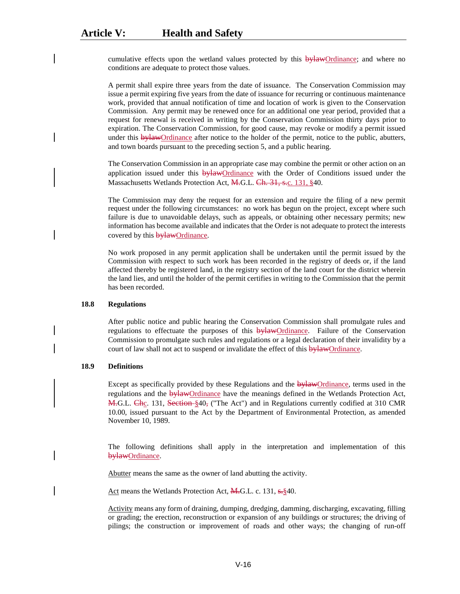cumulative effects upon the wetland values protected by this  $\frac{b}{d}$  by diamance; and where no conditions are adequate to protect those values.

A permit shall expire three years from the date of issuance. The Conservation Commission may issue a permit expiring five years from the date of issuance for recurring or continuous maintenance work, provided that annual notification of time and location of work is given to the Conservation Commission. Any permit may be renewed once for an additional one year period, provided that a request for renewal is received in writing by the Conservation Commission thirty days prior to expiration. The Conservation Commission, for good cause, may revoke or modify a permit issued under this **bylaw**Ordinance after notice to the holder of the permit, notice to the public, abutters, and town boards pursuant to the preceding section 5, and a public hearing.

The Conservation Commission in an appropriate case may combine the permit or other action on an application issued under this **bylawOrdinance** with the Order of Conditions issued under the Massachusetts Wetlands Protection Act, M.G.L. Ch. 31, s.c. 131, §40.

The Commission may deny the request for an extension and require the filing of a new permit request under the following circumstances: no work has begun on the project, except where such failure is due to unavoidable delays, such as appeals, or obtaining other necessary permits; new information has become available and indicates that the Order is not adequate to protect the interests covered by this **bylawOrdinance**.

No work proposed in any permit application shall be undertaken until the permit issued by the Commission with respect to such work has been recorded in the registry of deeds or, if the land affected thereby be registered land, in the registry section of the land court for the district wherein the land lies, and until the holder of the permit certifies in writing to the Commission that the permit has been recorded.

#### **18.8 Regulations**

After public notice and public hearing the Conservation Commission shall promulgate rules and regulations to effectuate the purposes of this  $\frac{b\mu\mu\alpha\beta\gamma}{c}$ . Failure of the Conservation Commission to promulgate such rules and regulations or a legal declaration of their invalidity by a court of law shall not act to suspend or invalidate the effect of this  $\frac{b\mu_{\text{A}}}{c}$ .

#### **18.9 Definitions**

Except as specifically provided by these Regulations and the bylawOrdinance, terms used in the regulations and the bylawOrdinance have the meanings defined in the Wetlands Protection Act, M.G.L. Chc. 131, Section §40, ("The Act") and in Regulations currently codified at 310 CMR 10.00, issued pursuant to the Act by the Department of Environmental Protection, as amended November 10, 1989.

The following definitions shall apply in the interpretation and implementation of this bylawOrdinance.

Abutter means the same as the owner of land abutting the activity.

Act means the Wetlands Protection Act, M.G.L. c. 131, s. §40.

Activity means any form of draining, dumping, dredging, damming, discharging, excavating, filling or grading; the erection, reconstruction or expansion of any buildings or structures; the driving of pilings; the construction or improvement of roads and other ways; the changing of run-off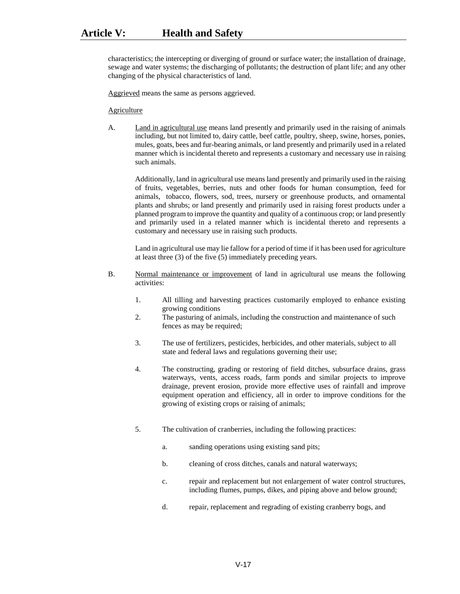characteristics; the intercepting or diverging of ground or surface water; the installation of drainage, sewage and water systems; the discharging of pollutants; the destruction of plant life; and any other changing of the physical characteristics of land.

Aggrieved means the same as persons aggrieved.

#### **Agriculture**

A. Land in agricultural use means land presently and primarily used in the raising of animals including, but not limited to, dairy cattle, beef cattle, poultry, sheep, swine, horses, ponies, mules, goats, bees and fur-bearing animals, or land presently and primarily used in a related manner which is incidental thereto and represents a customary and necessary use in raising such animals.

Additionally, land in agricultural use means land presently and primarily used in the raising of fruits, vegetables, berries, nuts and other foods for human consumption, feed for animals, tobacco, flowers, sod, trees, nursery or greenhouse products, and ornamental plants and shrubs; or land presently and primarily used in raising forest products under a planned program to improve the quantity and quality of a continuous crop; or land presently and primarily used in a related manner which is incidental thereto and represents a customary and necessary use in raising such products.

Land in agricultural use may lie fallow for a period of time if it has been used for agriculture at least three (3) of the five (5) immediately preceding years.

- B. Normal maintenance or improvement of land in agricultural use means the following activities:
	- 1. All tilling and harvesting practices customarily employed to enhance existing growing conditions
	- 2. The pasturing of animals, including the construction and maintenance of such fences as may be required;
	- 3. The use of fertilizers, pesticides, herbicides, and other materials, subject to all state and federal laws and regulations governing their use;
	- 4. The constructing, grading or restoring of field ditches, subsurface drains, grass waterways, vents, access roads, farm ponds and similar projects to improve drainage, prevent erosion, provide more effective uses of rainfall and improve equipment operation and efficiency, all in order to improve conditions for the growing of existing crops or raising of animals;
	- 5. The cultivation of cranberries, including the following practices:
		- a. sanding operations using existing sand pits;
		- b. cleaning of cross ditches, canals and natural waterways;
		- c. repair and replacement but not enlargement of water control structures, including flumes, pumps, dikes, and piping above and below ground;
		- d. repair, replacement and regrading of existing cranberry bogs, and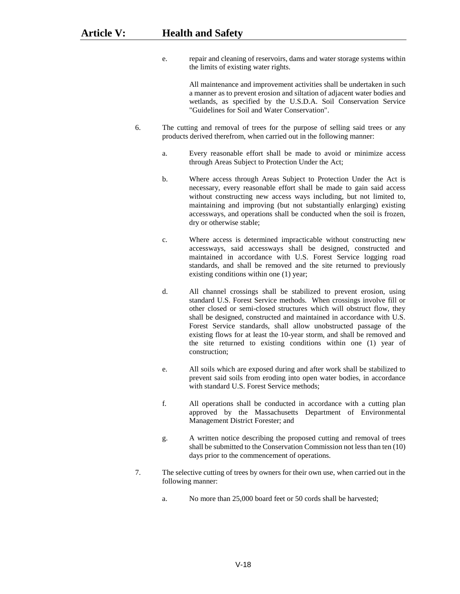e. repair and cleaning of reservoirs, dams and water storage systems within the limits of existing water rights.

> All maintenance and improvement activities shall be undertaken in such a manner as to prevent erosion and siltation of adjacent water bodies and wetlands, as specified by the U.S.D.A. Soil Conservation Service "Guidelines for Soil and Water Conservation".

- 6. The cutting and removal of trees for the purpose of selling said trees or any products derived therefrom, when carried out in the following manner:
	- a. Every reasonable effort shall be made to avoid or minimize access through Areas Subject to Protection Under the Act;
	- b. Where access through Areas Subject to Protection Under the Act is necessary, every reasonable effort shall be made to gain said access without constructing new access ways including, but not limited to, maintaining and improving (but not substantially enlarging) existing accessways, and operations shall be conducted when the soil is frozen, dry or otherwise stable;
	- c. Where access is determined impracticable without constructing new accessways, said accessways shall be designed, constructed and maintained in accordance with U.S. Forest Service logging road standards, and shall be removed and the site returned to previously existing conditions within one (1) year;
	- d. All channel crossings shall be stabilized to prevent erosion, using standard U.S. Forest Service methods. When crossings involve fill or other closed or semi-closed structures which will obstruct flow, they shall be designed, constructed and maintained in accordance with U.S. Forest Service standards, shall allow unobstructed passage of the existing flows for at least the 10-year storm, and shall be removed and the site returned to existing conditions within one (1) year of construction;
	- e. All soils which are exposed during and after work shall be stabilized to prevent said soils from eroding into open water bodies, in accordance with standard U.S. Forest Service methods;
	- f. All operations shall be conducted in accordance with a cutting plan approved by the Massachusetts Department of Environmental Management District Forester; and
	- g. A written notice describing the proposed cutting and removal of trees shall be submitted to the Conservation Commission not less than ten (10) days prior to the commencement of operations.
- 7. The selective cutting of trees by owners for their own use, when carried out in the following manner:
	- a. No more than 25,000 board feet or 50 cords shall be harvested;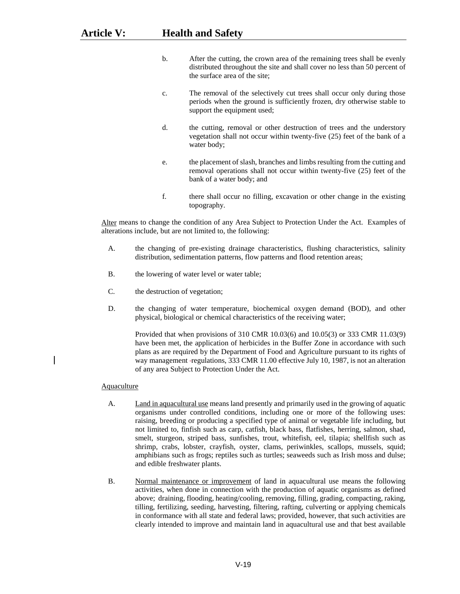- b. After the cutting, the crown area of the remaining trees shall be evenly distributed throughout the site and shall cover no less than 50 percent of the surface area of the site;
- c. The removal of the selectively cut trees shall occur only during those periods when the ground is sufficiently frozen, dry otherwise stable to support the equipment used;
- d. the cutting, removal or other destruction of trees and the understory vegetation shall not occur within twenty-five (25) feet of the bank of a water body;
- e. the placement of slash, branches and limbs resulting from the cutting and removal operations shall not occur within twenty-five (25) feet of the bank of a water body; and
- f. there shall occur no filling, excavation or other change in the existing topography.

Alter means to change the condition of any Area Subject to Protection Under the Act. Examples of alterations include, but are not limited to, the following:

- A. the changing of pre-existing drainage characteristics, flushing characteristics, salinity distribution, sedimentation patterns, flow patterns and flood retention areas;
- B. the lowering of water level or water table;
- C. the destruction of vegetation;
- D. the changing of water temperature, biochemical oxygen demand (BOD), and other physical, biological or chemical characteristics of the receiving water;

Provided that when provisions of 310 CMR 10.03(6) and 10.05(3) or 333 CMR 11.03(9) have been met, the application of herbicides in the Buffer Zone in accordance with such plans as are required by the Department of Food and Agriculture pursuant to its rights of way management regulations, 333 CMR 11.00 effective July 10, 1987, is not an alteration of any area Subject to Protection Under the Act.

#### Aquaculture

- A. Land in aquacultural use means land presently and primarily used in the growing of aquatic organisms under controlled conditions, including one or more of the following uses: raising, breeding or producing a specified type of animal or vegetable life including, but not limited to, finfish such as carp, catfish, black bass, flatfishes, herring, salmon, shad, smelt, sturgeon, striped bass, sunfishes, trout, whitefish, eel, tilapia; shellfish such as shrimp, crabs, lobster, crayfish, oyster, clams, periwinkles, scallops, mussels, squid; amphibians such as frogs; reptiles such as turtles; seaweeds such as Irish moss and dulse; and edible freshwater plants.
- B. Normal maintenance or improvement of land in aquacultural use means the following activities, when done in connection with the production of aquatic organisms as defined above; draining, flooding, heating/cooling, removing, filling, grading, compacting, raking, tilling, fertilizing, seeding, harvesting, filtering, rafting, culverting or applying chemicals in conformance with all state and federal laws; provided, however, that such activities are clearly intended to improve and maintain land in aquacultural use and that best available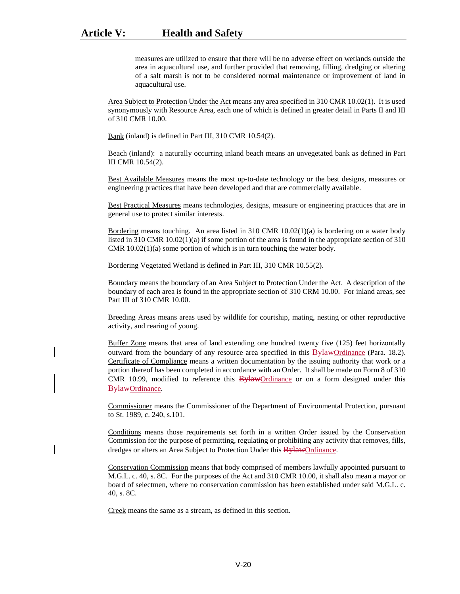measures are utilized to ensure that there will be no adverse effect on wetlands outside the area in aquacultural use, and further provided that removing, filling, dredging or altering of a salt marsh is not to be considered normal maintenance or improvement of land in aquacultural use.

Area Subject to Protection Under the Act means any area specified in 310 CMR 10.02(1). It is used synonymously with Resource Area, each one of which is defined in greater detail in Parts II and III of 310 CMR 10.00.

Bank (inland) is defined in Part III, 310 CMR 10.54(2).

Beach (inland): a naturally occurring inland beach means an unvegetated bank as defined in Part III CMR 10.54(2).

Best Available Measures means the most up-to-date technology or the best designs, measures or engineering practices that have been developed and that are commercially available.

Best Practical Measures means technologies, designs, measure or engineering practices that are in general use to protect similar interests.

Bordering means touching. An area listed in 310 CMR 10.02(1)(a) is bordering on a water body listed in 310 CMR 10.02(1)(a) if some portion of the area is found in the appropriate section of 310 CMR 10.02(1)(a) some portion of which is in turn touching the water body.

Bordering Vegetated Wetland is defined in Part III, 310 CMR 10.55(2).

Boundary means the boundary of an Area Subject to Protection Under the Act. A description of the boundary of each area is found in the appropriate section of 310 CRM 10.00. For inland areas, see Part III of 310 CMR 10.00.

Breeding Areas means areas used by wildlife for courtship, mating, nesting or other reproductive activity, and rearing of young.

Buffer Zone means that area of land extending one hundred twenty five (125) feet horizontally outward from the boundary of any resource area specified in this BylawOrdinance (Para. 18.2). Certificate of Compliance means a written documentation by the issuing authority that work or a portion thereof has been completed in accordance with an Order. It shall be made on Form 8 of 310 CMR 10.99, modified to reference this BylawOrdinance or on a form designed under this BylawOrdinance.

Commissioner means the Commissioner of the Department of Environmental Protection, pursuant to St. 1989, c. 240, s.101.

Conditions means those requirements set forth in a written Order issued by the Conservation Commission for the purpose of permitting, regulating or prohibiting any activity that removes, fills, dredges or alters an Area Subject to Protection Under this **BylawOrdinance**.

Conservation Commission means that body comprised of members lawfully appointed pursuant to M.G.L. c. 40, s. 8C. For the purposes of the Act and 310 CMR 10.00, it shall also mean a mayor or board of selectmen, where no conservation commission has been established under said M.G.L. c. 40, s. 8C.

Creek means the same as a stream, as defined in this section.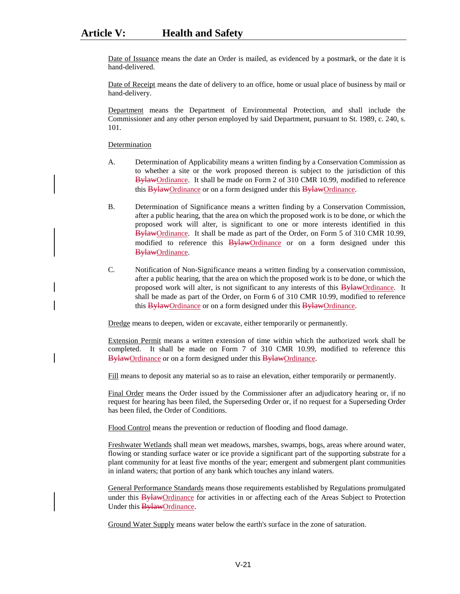Date of Issuance means the date an Order is mailed, as evidenced by a postmark, or the date it is hand-delivered.

Date of Receipt means the date of delivery to an office, home or usual place of business by mail or hand-delivery.

Department means the Department of Environmental Protection, and shall include the Commissioner and any other person employed by said Department, pursuant to St. 1989, c. 240, s. 101.

#### **Determination**

- A. Determination of Applicability means a written finding by a Conservation Commission as to whether a site or the work proposed thereon is subject to the jurisdiction of this BylawOrdinance. It shall be made on Form 2 of 310 CMR 10.99, modified to reference this BylawOrdinance or on a form designed under this BylawOrdinance.
- B. Determination of Significance means a written finding by a Conservation Commission, after a public hearing, that the area on which the proposed work is to be done, or which the proposed work will alter, is significant to one or more interests identified in this BylawOrdinance. It shall be made as part of the Order, on Form 5 of 310 CMR 10.99, modified to reference this BylawOrdinance or on a form designed under this BylawOrdinance.
- C. Notification of Non-Significance means a written finding by a conservation commission, after a public hearing, that the area on which the proposed work is to be done, or which the proposed work will alter, is not significant to any interests of this **BylawOrdinance**. It shall be made as part of the Order, on Form 6 of 310 CMR 10.99, modified to reference this BylawOrdinance or on a form designed under this BylawOrdinance.

Dredge means to deepen, widen or excavate, either temporarily or permanently.

Extension Permit means a written extension of time within which the authorized work shall be completed. It shall be made on Form 7 of 310 CMR 10.99, modified to reference this BylawOrdinance or on a form designed under this BylawOrdinance.

Fill means to deposit any material so as to raise an elevation, either temporarily or permanently.

Final Order means the Order issued by the Commissioner after an adjudicatory hearing or, if no request for hearing has been filed, the Superseding Order or, if no request for a Superseding Order has been filed, the Order of Conditions.

Flood Control means the prevention or reduction of flooding and flood damage.

Freshwater Wetlands shall mean wet meadows, marshes, swamps, bogs, areas where around water, flowing or standing surface water or ice provide a significant part of the supporting substrate for a plant community for at least five months of the year; emergent and submergent plant communities in inland waters; that portion of any bank which touches any inland waters.

General Performance Standards means those requirements established by Regulations promulgated under this **Bylaw**Ordinance for activities in or affecting each of the Areas Subject to Protection Under this **BylawOrdinance**.

Ground Water Supply means water below the earth's surface in the zone of saturation.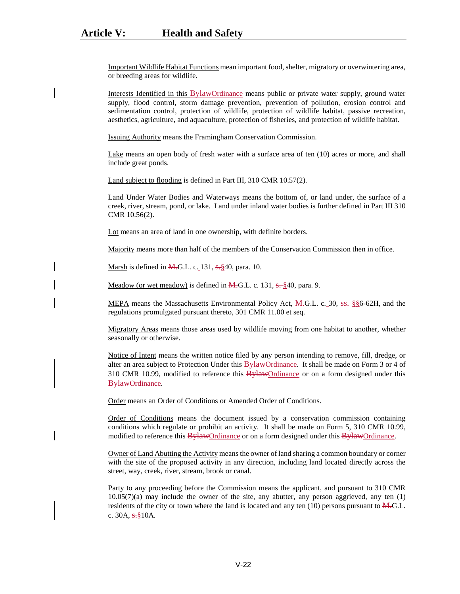Important Wildlife Habitat Functions mean important food, shelter, migratory or overwintering area, or breeding areas for wildlife.

Interests Identified in this BylawOrdinance means public or private water supply, ground water supply, flood control, storm damage prevention, prevention of pollution, erosion control and sedimentation control, protection of wildlife, protection of wildlife habitat, passive recreation, aesthetics, agriculture, and aquaculture, protection of fisheries, and protection of wildlife habitat.

Issuing Authority means the Framingham Conservation Commission.

Lake means an open body of fresh water with a surface area of ten (10) acres or more, and shall include great ponds.

Land subject to flooding is defined in Part III, 310 CMR 10.57(2).

Land Under Water Bodies and Waterways means the bottom of, or land under, the surface of a creek, river, stream, pond, or lake. Land under inland water bodies is further defined in Part III 310 CMR 10.56(2).

Lot means an area of land in one ownership, with definite borders.

Majority means more than half of the members of the Conservation Commission then in office.

Marsh is defined in  $\overline{M}$ .G.L. c. 131, s. §40, para. 10.

Meadow (or wet meadow) is defined in  $\overline{M}$ -G.L. c. 131,  $\overline{s}$ - $\frac{8}{3}$ 40, para. 9.

MEPA means the Massachusetts Environmental Policy Act,  $\overline{M}$ .G.L. c. 30, <del>ss.</del> §§6-62H, and the regulations promulgated pursuant thereto, 301 CMR 11.00 et seq.

Migratory Areas means those areas used by wildlife moving from one habitat to another, whether seasonally or otherwise.

Notice of Intent means the written notice filed by any person intending to remove, fill, dredge, or alter an area subject to Protection Under this **BylawOrdinance**. It shall be made on Form 3 or 4 of 310 CMR 10.99, modified to reference this  $\frac{B \nu\text{H} \cdot \text{d}t}{B \nu\text{H}}$  or on a form designed under this BylawOrdinance.

Order means an Order of Conditions or Amended Order of Conditions.

Order of Conditions means the document issued by a conservation commission containing conditions which regulate or prohibit an activity. It shall be made on Form 5, 310 CMR 10.99, modified to reference this BylawOrdinance or on a form designed under this BylawOrdinance.

Owner of Land Abutting the Activity means the owner of land sharing a common boundary or corner with the site of the proposed activity in any direction, including land located directly across the street, way, creek, river, stream, brook or canal.

Party to any proceeding before the Commission means the applicant, and pursuant to 310 CMR  $10.05(7)(a)$  may include the owner of the site, any abutter, any person aggrieved, any ten  $(1)$ residents of the city or town where the land is located and any ten  $(10)$  persons pursuant to  $\overline{M}$ . G.L. c.  $30A, \frac{10}{2}10A$ .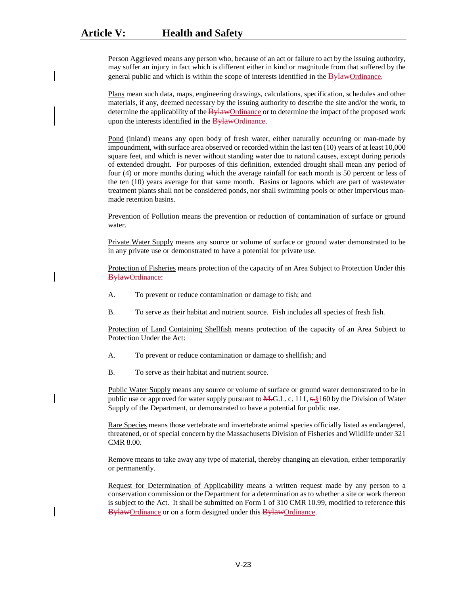Person Aggrieved means any person who, because of an act or failure to act by the issuing authority, may suffer an injury in fact which is different either in kind or magnitude from that suffered by the general public and which is within the scope of interests identified in the **Bylaw**Ordinance.

Plans mean such data, maps, engineering drawings, calculations, specification, schedules and other materials, if any, deemed necessary by the issuing authority to describe the site and/or the work, to determine the applicability of the BylawOrdinance or to determine the impact of the proposed work upon the interests identified in the **Bylaw**Ordinance.

Pond (inland) means any open body of fresh water, either naturally occurring or man-made by impoundment, with surface area observed or recorded within the last ten (10) years of at least 10,000 square feet, and which is never without standing water due to natural causes, except during periods of extended drought. For purposes of this definition, extended drought shall mean any period of four (4) or more months during which the average rainfall for each month is 50 percent or less of the ten (10) years average for that same month. Basins or lagoons which are part of wastewater treatment plants shall not be considered ponds, nor shall swimming pools or other impervious manmade retention basins.

Prevention of Pollution means the prevention or reduction of contamination of surface or ground water.

Private Water Supply means any source or volume of surface or ground water demonstrated to be in any private use or demonstrated to have a potential for private use.

Protection of Fisheries means protection of the capacity of an Area Subject to Protection Under this BylawOrdinance:

- A. To prevent or reduce contamination or damage to fish; and
- B. To serve as their habitat and nutrient source. Fish includes all species of fresh fish.

Protection of Land Containing Shellfish means protection of the capacity of an Area Subject to Protection Under the Act:

- A. To prevent or reduce contamination or damage to shellfish; and
- B. To serve as their habitat and nutrient source.

Public Water Supply means any source or volume of surface or ground water demonstrated to be in public use or approved for water supply pursuant to  $\overline{M}$ .G.L. c. 111,  $s$ .§160 by the Division of Water Supply of the Department, or demonstrated to have a potential for public use.

Rare Species means those vertebrate and invertebrate animal species officially listed as endangered, threatened, or of special concern by the Massachusetts Division of Fisheries and Wildlife under 321 CMR 8.00.

Remove means to take away any type of material, thereby changing an elevation, either temporarily or permanently.

Request for Determination of Applicability means a written request made by any person to a conservation commission or the Department for a determination as to whether a site or work thereon is subject to the Act. It shall be submitted on Form 1 of 310 CMR 10.99, modified to reference this BylawOrdinance or on a form designed under this BylawOrdinance.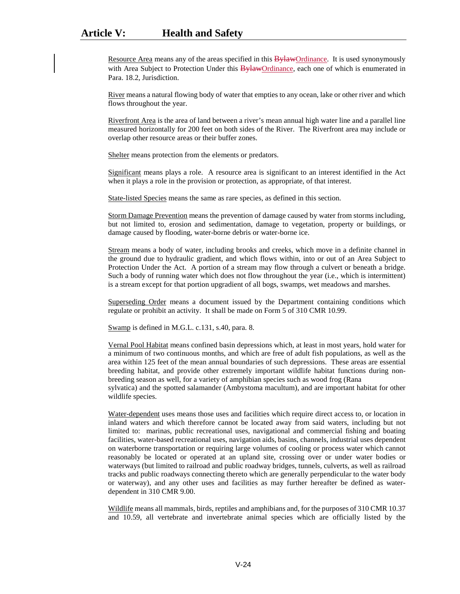Resource Area means any of the areas specified in this **Bylaw**Ordinance. It is used synonymously with Area Subject to Protection Under this  $\frac{B\psi\text{ law}}{B\psi\text{diam}}$  each one of which is enumerated in Para. 18.2, Jurisdiction.

River means a natural flowing body of water that empties to any ocean, lake or other river and which flows throughout the year.

Riverfront Area is the area of land between a river's mean annual high water line and a parallel line measured horizontally for 200 feet on both sides of the River. The Riverfront area may include or overlap other resource areas or their buffer zones.

Shelter means protection from the elements or predators.

Significant means plays a role. A resource area is significant to an interest identified in the Act when it plays a role in the provision or protection, as appropriate, of that interest.

State-listed Species means the same as rare species, as defined in this section.

Storm Damage Prevention means the prevention of damage caused by water from storms including, but not limited to, erosion and sedimentation, damage to vegetation, property or buildings, or damage caused by flooding, water-borne debris or water-borne ice.

Stream means a body of water, including brooks and creeks, which move in a definite channel in the ground due to hydraulic gradient, and which flows within, into or out of an Area Subject to Protection Under the Act. A portion of a stream may flow through a culvert or beneath a bridge. Such a body of running water which does not flow throughout the year (i.e., which is intermittent) is a stream except for that portion upgradient of all bogs, swamps, wet meadows and marshes.

Superseding Order means a document issued by the Department containing conditions which regulate or prohibit an activity. It shall be made on Form 5 of 310 CMR 10.99.

Swamp is defined in M.G.L. c.131, s.40, para. 8.

Vernal Pool Habitat means confined basin depressions which, at least in most years, hold water for a minimum of two continuous months, and which are free of adult fish populations, as well as the area within 125 feet of the mean annual boundaries of such depressions. These areas are essential breeding habitat, and provide other extremely important wildlife habitat functions during nonbreeding season as well, for a variety of amphibian species such as wood frog (Rana sylvatica) and the spotted salamander (Ambystoma macultum), and are important habitat for other wildlife species.

Water-dependent uses means those uses and facilities which require direct access to, or location in inland waters and which therefore cannot be located away from said waters, including but not limited to: marinas, public recreational uses, navigational and commercial fishing and boating facilities, water-based recreational uses, navigation aids, basins, channels, industrial uses dependent on waterborne transportation or requiring large volumes of cooling or process water which cannot reasonably be located or operated at an upland site, crossing over or under water bodies or waterways (but limited to railroad and public roadway bridges, tunnels, culverts, as well as railroad tracks and public roadways connecting thereto which are generally perpendicular to the water body or waterway), and any other uses and facilities as may further hereafter be defined as waterdependent in 310 CMR 9.00.

Wildlife means all mammals, birds, reptiles and amphibians and, for the purposes of 310 CMR 10.37 and 10.59, all vertebrate and invertebrate animal species which are officially listed by the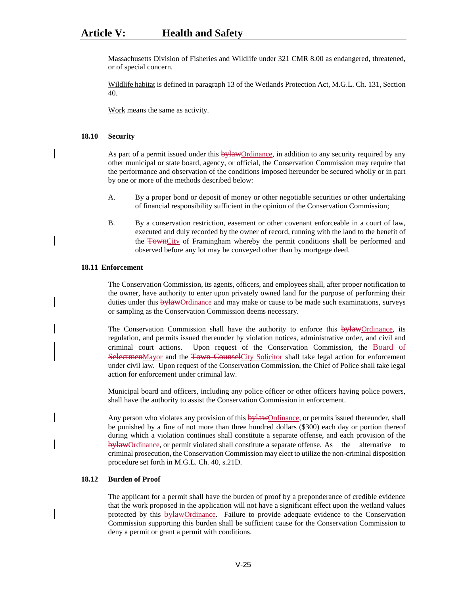Massachusetts Division of Fisheries and Wildlife under 321 CMR 8.00 as endangered, threatened, or of special concern.

Wildlife habitat is defined in paragraph 13 of the Wetlands Protection Act, M.G.L. Ch. 131, Section 40.

Work means the same as activity.

#### **18.10 Security**

As part of a permit issued under this **bylaw**Ordinance, in addition to any security required by any other municipal or state board, agency, or official, the Conservation Commission may require that the performance and observation of the conditions imposed hereunder be secured wholly or in part by one or more of the methods described below:

- A. By a proper bond or deposit of money or other negotiable securities or other undertaking of financial responsibility sufficient in the opinion of the Conservation Commission;
- B. By a conservation restriction, easement or other covenant enforceable in a court of law, executed and duly recorded by the owner of record, running with the land to the benefit of the TownCity of Framingham whereby the permit conditions shall be performed and observed before any lot may be conveyed other than by mortgage deed.

# **18.11 Enforcement**

The Conservation Commission, its agents, officers, and employees shall, after proper notification to the owner, have authority to enter upon privately owned land for the purpose of performing their duties under this **bylaw**Ordinance and may make or cause to be made such examinations, surveys or sampling as the Conservation Commission deems necessary.

The Conservation Commission shall have the authority to enforce this **bylaw**Ordinance, its regulation, and permits issued thereunder by violation notices, administrative order, and civil and criminal court actions. Upon request of the Conservation Commission, the Board of SelectmenMayor and the Town CounselCity Solicitor shall take legal action for enforcement under civil law. Upon request of the Conservation Commission, the Chief of Police shall take legal action for enforcement under criminal law.

Municipal board and officers, including any police officer or other officers having police powers, shall have the authority to assist the Conservation Commission in enforcement.

Any person who violates any provision of this  $\frac{b}{v}$  and  $\frac{b}{v}$  or permits issued thereunder, shall be punished by a fine of not more than three hundred dollars (\$300) each day or portion thereof during which a violation continues shall constitute a separate offense, and each provision of the bylawOrdinance, or permit violated shall constitute a separate offense. As the alternative to criminal prosecution, the Conservation Commission may elect to utilize the non-criminal disposition procedure set forth in M.G.L. Ch. 40, s.21D.

## **18.12 Burden of Proof**

The applicant for a permit shall have the burden of proof by a preponderance of credible evidence that the work proposed in the application will not have a significant effect upon the wetland values protected by this bylawOrdinance. Failure to provide adequate evidence to the Conservation Commission supporting this burden shall be sufficient cause for the Conservation Commission to deny a permit or grant a permit with conditions.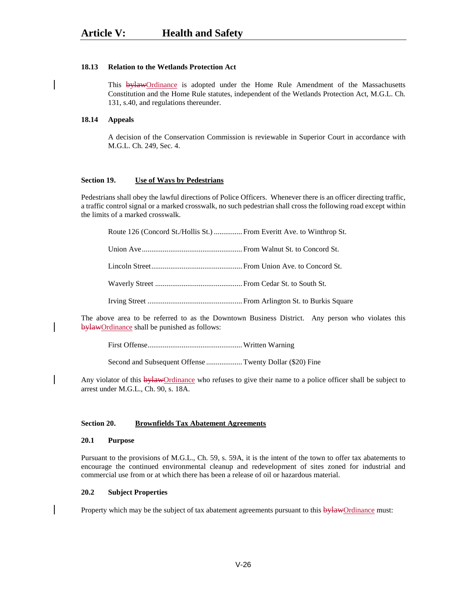#### **18.13 Relation to the Wetlands Protection Act**

This **bylaw**Ordinance is adopted under the Home Rule Amendment of the Massachusetts Constitution and the Home Rule statutes, independent of the Wetlands Protection Act, M.G.L. Ch. 131, s.40, and regulations thereunder.

### **18.14 Appeals**

A decision of the Conservation Commission is reviewable in Superior Court in accordance with M.G.L. Ch. 249, Sec. 4.

#### **Section 19. Use of Ways by Pedestrians**

Pedestrians shall obey the lawful directions of Police Officers. Whenever there is an officer directing traffic, a traffic control signal or a marked crosswalk, no such pedestrian shall cross the following road except within the limits of a marked crosswalk.

Route 126 (Concord St./Hollis St.) ............... From Everitt Ave. to Winthrop St.

Union Ave..................................................... From Walnut St. to Concord St.

Lincoln Street................................................ From Union Ave. to Concord St.

Waverly Street .............................................. From Cedar St. to South St.

Irving Street .................................................. From Arlington St. to Burkis Square

The above area to be referred to as the Downtown Business District. Any person who violates this bylawOrdinance shall be punished as follows:

First Offense..................................................Written Warning

Second and Subsequent Offense ...................Twenty Dollar (\$20) Fine

Any violator of this **bylaw**Ordinance who refuses to give their name to a police officer shall be subject to arrest under M.G.L., Ch. 90, s. 18A.

#### **Section 20. Brownfields Tax Abatement Agreements**

#### **20.1 Purpose**

Pursuant to the provisions of M.G.L., Ch. 59, s. 59A, it is the intent of the town to offer tax abatements to encourage the continued environmental cleanup and redevelopment of sites zoned for industrial and commercial use from or at which there has been a release of oil or hazardous material.

#### **20.2 Subject Properties**

Property which may be the subject of tax abatement agreements pursuant to this bylawOrdinance must: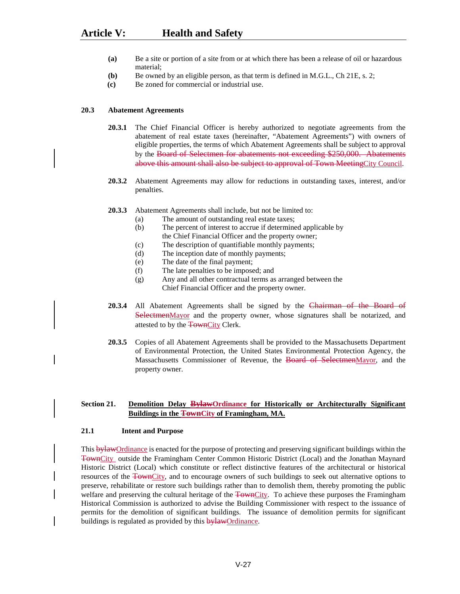- **(a)** Be a site or portion of a site from or at which there has been a release of oil or hazardous material;
- **(b)** Be owned by an eligible person, as that term is defined in M.G.L., Ch 21E, s. 2;
- **(c)** Be zoned for commercial or industrial use.

#### **20.3 Abatement Agreements**

- **20.3.1** The Chief Financial Officer is hereby authorized to negotiate agreements from the abatement of real estate taxes (hereinafter, "Abatement Agreements") with owners of eligible properties, the terms of which Abatement Agreements shall be subject to approval by the Board of Selectmen for abatements not exceeding \$250,000. Abatements above this amount shall also be subject to approval of Town MeetingCity Council.
- **20.3.2** Abatement Agreements may allow for reductions in outstanding taxes, interest, and/or penalties.
- **20.3.3** Abatement Agreements shall include, but not be limited to:
	- (a) The amount of outstanding real estate taxes;
	- (b) The percent of interest to accrue if determined applicable by the Chief Financial Officer and the property owner;
	- (c) The description of quantifiable monthly payments;
	- (d) The inception date of monthly payments;
	- (e) The date of the final payment;
	- (f) The late penalties to be imposed; and
	- (g) Any and all other contractual terms as arranged between the Chief Financial Officer and the property owner.
- **20.3.4** All Abatement Agreements shall be signed by the Chairman of the Board of SelectmenMayor and the property owner, whose signatures shall be notarized, and attested to by the TownCity Clerk.
- **20.3.5** Copies of all Abatement Agreements shall be provided to the Massachusetts Department of Environmental Protection, the United States Environmental Protection Agency, the Massachusetts Commissioner of Revenue, the Board of SelectmenMayor, and the property owner.

# **Section 21. Demolition Delay BylawOrdinance for Historically or Architecturally Significant Buildings in the TownCity of Framingham, MA.**

#### **21.1 Intent and Purpose**

This bylawOrdinance is enacted for the purpose of protecting and preserving significant buildings within the TownCity outside the Framingham Center Common Historic District (Local) and the Jonathan Maynard Historic District (Local) which constitute or reflect distinctive features of the architectural or historical resources of the TownCity, and to encourage owners of such buildings to seek out alternative options to preserve, rehabilitate or restore such buildings rather than to demolish them, thereby promoting the public welfare and preserving the cultural heritage of the TownCity. To achieve these purposes the Framingham Historical Commission is authorized to advise the Building Commissioner with respect to the issuance of permits for the demolition of significant buildings. The issuance of demolition permits for significant buildings is regulated as provided by this **bylaw**Ordinance.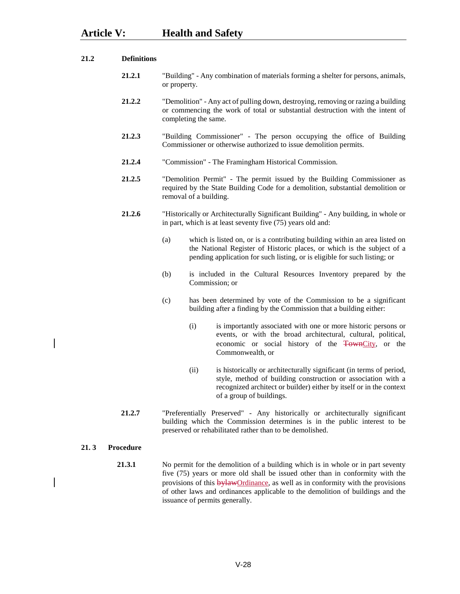- **21.2.1** "Building" Any combination of materials forming a shelter for persons, animals, or property.
- **21.2.2** "Demolition" Any act of pulling down, destroying, removing or razing a building or commencing the work of total or substantial destruction with the intent of completing the same.
- **21.2.3** "Building Commissioner" The person occupying the office of Building Commissioner or otherwise authorized to issue demolition permits.
- **21.2.4** "Commission" The Framingham Historical Commission.
- **21.2.5** "Demolition Permit" The permit issued by the Building Commissioner as required by the State Building Code for a demolition, substantial demolition or removal of a building.
- **21.2.6** "Historically or Architecturally Significant Building" Any building, in whole or in part, which is at least seventy five (75) years old and:
	- (a) which is listed on, or is a contributing building within an area listed on the National Register of Historic places, or which is the subject of a pending application for such listing, or is eligible for such listing; or
	- (b) is included in the Cultural Resources Inventory prepared by the Commission; or
	- (c) has been determined by vote of the Commission to be a significant building after a finding by the Commission that a building either:
		- (i) is importantly associated with one or more historic persons or events, or with the broad architectural, cultural, political, economic or social history of the TownCity, or the Commonwealth, or
		- (ii) is historically or architecturally significant (in terms of period, style, method of building construction or association with a recognized architect or builder) either by itself or in the context of a group of buildings.
- **21.2.7** "Preferentially Preserved" Any historically or architecturally significant building which the Commission determines is in the public interest to be preserved or rehabilitated rather than to be demolished.

**21. 3 Procedure**

**21.3.1** No permit for the demolition of a building which is in whole or in part seventy five (75) years or more old shall be issued other than in conformity with the provisions of this **bylawOrdinance**, as well as in conformity with the provisions of other laws and ordinances applicable to the demolition of buildings and the issuance of permits generally.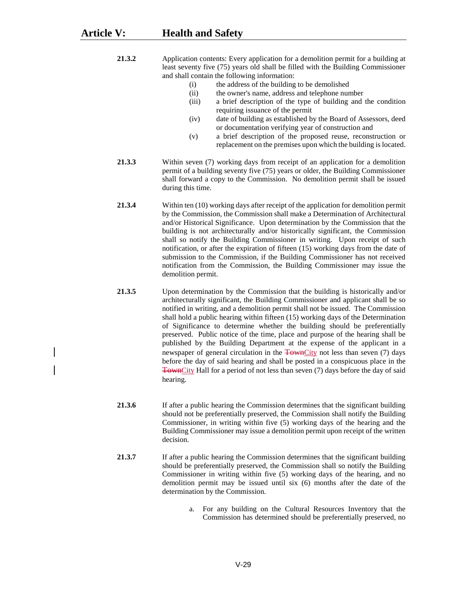**21.3.2** Application contents: Every application for a demolition permit for a building at least seventy five (75) years old shall be filled with the Building Commissioner and shall contain the following information:

- (i) the address of the building to be demolished
- (ii) the owner's name, address and telephone number
- (iii) a brief description of the type of building and the condition requiring issuance of the permit
- (iv) date of building as established by the Board of Assessors, deed or documentation verifying year of construction and
- (v) a brief description of the proposed reuse, reconstruction or replacement on the premises upon which the building is located.
- **21.3.3** Within seven (7) working days from receipt of an application for a demolition permit of a building seventy five (75) years or older, the Building Commissioner shall forward a copy to the Commission. No demolition permit shall be issued during this time.
- **21.3.4** Within ten (10) working days after receipt of the application for demolition permit by the Commission, the Commission shall make a Determination of Architectural and/or Historical Significance. Upon determination by the Commission that the building is not architecturally and/or historically significant, the Commission shall so notify the Building Commissioner in writing. Upon receipt of such notification, or after the expiration of fifteen (15) working days from the date of submission to the Commission, if the Building Commissioner has not received notification from the Commission, the Building Commissioner may issue the demolition permit.
- **21.3.5** Upon determination by the Commission that the building is historically and/or architecturally significant, the Building Commissioner and applicant shall be so notified in writing, and a demolition permit shall not be issued. The Commission shall hold a public hearing within fifteen (15) working days of the Determination of Significance to determine whether the building should be preferentially preserved. Public notice of the time, place and purpose of the hearing shall be published by the Building Department at the expense of the applicant in a newspaper of general circulation in the TownCity not less than seven (7) days before the day of said hearing and shall be posted in a conspicuous place in the TownCity Hall for a period of not less than seven (7) days before the day of said hearing.
- **21.3.6** If after a public hearing the Commission determines that the significant building should not be preferentially preserved, the Commission shall notify the Building Commissioner, in writing within five (5) working days of the hearing and the Building Commissioner may issue a demolition permit upon receipt of the written decision.
- **21.3.7** If after a public hearing the Commission determines that the significant building should be preferentially preserved, the Commission shall so notify the Building Commissioner in writing within five (5) working days of the hearing, and no demolition permit may be issued until six (6) months after the date of the determination by the Commission.
	- a. For any building on the Cultural Resources Inventory that the Commission has determined should be preferentially preserved, no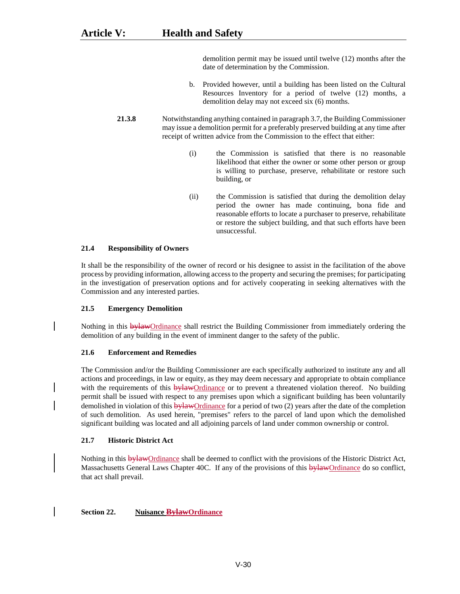demolition permit may be issued until twelve (12) months after the date of determination by the Commission.

- b. Provided however, until a building has been listed on the Cultural Resources Inventory for a period of twelve (12) months, a demolition delay may not exceed six (6) months.
- **21.3.8** Notwithstanding anything contained in paragraph 3.7, the Building Commissioner may issue a demolition permit for a preferably preserved building at any time after receipt of written advice from the Commission to the effect that either:
	- (i) the Commission is satisfied that there is no reasonable likelihood that either the owner or some other person or group is willing to purchase, preserve, rehabilitate or restore such building, or
	- (ii) the Commission is satisfied that during the demolition delay period the owner has made continuing, bona fide and reasonable efforts to locate a purchaser to preserve, rehabilitate or restore the subject building, and that such efforts have been unsuccessful.

# **21.4 Responsibility of Owners**

It shall be the responsibility of the owner of record or his designee to assist in the facilitation of the above process by providing information, allowing access to the property and securing the premises; for participating in the investigation of preservation options and for actively cooperating in seeking alternatives with the Commission and any interested parties.

# **21.5 Emergency Demolition**

Nothing in this **bylaw**Ordinance shall restrict the Building Commissioner from immediately ordering the demolition of any building in the event of imminent danger to the safety of the public.

# **21.6 Enforcement and Remedies**

The Commission and/or the Building Commissioner are each specifically authorized to institute any and all actions and proceedings, in law or equity, as they may deem necessary and appropriate to obtain compliance with the requirements of this bylawOrdinance or to prevent a threatened violation thereof. No building permit shall be issued with respect to any premises upon which a significant building has been voluntarily demolished in violation of this bylawOrdinance for a period of two (2) years after the date of the completion of such demolition. As used herein, "premises" refers to the parcel of land upon which the demolished significant building was located and all adjoining parcels of land under common ownership or control.

# **21.7 Historic District Act**

Nothing in this **bylaw**Ordinance shall be deemed to conflict with the provisions of the Historic District Act, Massachusetts General Laws Chapter 40C. If any of the provisions of this bylawOrdinance do so conflict, that act shall prevail.

# **Section 22. Nuisance BylawOrdinance**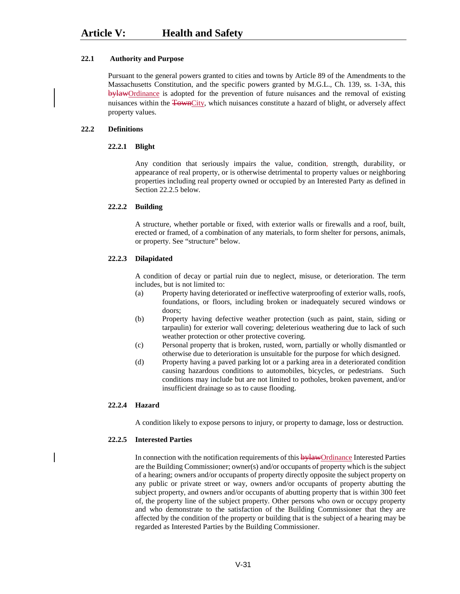# **22.1 Authority and Purpose**

Pursuant to the general powers granted to cities and towns by Article 89 of the Amendments to the Massachusetts Constitution, and the specific powers granted by M.G.L., Ch. 139, ss. 1-3A, this bylawOrdinance is adopted for the prevention of future nuisances and the removal of existing nuisances within the TownCity, which nuisances constitute a hazard of blight, or adversely affect property values.

#### **22.2 Definitions**

### **22.2.1 Blight**

Any condition that seriously impairs the value, condition, strength, durability, or appearance of real property, or is otherwise detrimental to property values or neighboring properties including real property owned or occupied by an Interested Party as defined in Section 22.2.5 below.

### **22.2.2 Building**

A structure, whether portable or fixed, with exterior walls or firewalls and a roof, built, erected or framed, of a combination of any materials, to form shelter for persons, animals, or property. See "structure" below.

### **22.2.3 Dilapidated**

A condition of decay or partial ruin due to neglect, misuse, or deterioration. The term includes, but is not limited to:

- (a) Property having deteriorated or ineffective waterproofing of exterior walls, roofs, foundations, or floors, including broken or inadequately secured windows or doors;
- (b) Property having defective weather protection (such as paint, stain, siding or tarpaulin) for exterior wall covering; deleterious weathering due to lack of such weather protection or other protective covering.
- (c) Personal property that is broken, rusted, worn, partially or wholly dismantled or otherwise due to deterioration is unsuitable for the purpose for which designed.
- (d) Property having a paved parking lot or a parking area in a deteriorated condition causing hazardous conditions to automobiles, bicycles, or pedestrians. Such conditions may include but are not limited to potholes, broken pavement, and/or insufficient drainage so as to cause flooding.

#### **22.2.4 Hazard**

A condition likely to expose persons to injury, or property to damage, loss or destruction.

# **22.2.5 Interested Parties**

In connection with the notification requirements of this bylawOrdinance Interested Parties are the Building Commissioner; owner(s) and/or occupants of property which is the subject of a hearing; owners and/or occupants of property directly opposite the subject property on any public or private street or way, owners and/or occupants of property abutting the subject property, and owners and/or occupants of abutting property that is within 300 feet of, the property line of the subject property. Other persons who own or occupy property and who demonstrate to the satisfaction of the Building Commissioner that they are affected by the condition of the property or building that is the subject of a hearing may be regarded as Interested Parties by the Building Commissioner.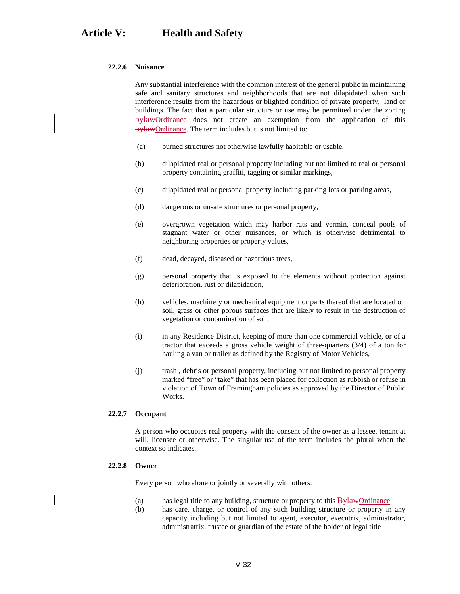#### **22.2.6 Nuisance**

Any substantial interference with the common interest of the general public in maintaining safe and sanitary structures and neighborhoods that are not dilapidated when such interference results from the hazardous or blighted condition of private property, land or buildings. The fact that a particular structure or use may be permitted under the zoning bylawOrdinance does not create an exemption from the application of this bylawOrdinance. The term includes but is not limited to:

- (a) burned structures not otherwise lawfully habitable or usable,
- (b) dilapidated real or personal property including but not limited to real or personal property containing graffiti, tagging or similar markings,
- (c) dilapidated real or personal property including parking lots or parking areas,
- (d) dangerous or unsafe structures or personal property,
- (e) overgrown vegetation which may harbor rats and vermin, conceal pools of stagnant water or other nuisances, or which is otherwise detrimental to neighboring properties or property values,
- (f) dead, decayed, diseased or hazardous trees,
- (g) personal property that is exposed to the elements without protection against deterioration, rust or dilapidation,
- (h) vehicles, machinery or mechanical equipment or parts thereof that are located on soil, grass or other porous surfaces that are likely to result in the destruction of vegetation or contamination of soil,
- (i) in any Residence District, keeping of more than one commercial vehicle, or of a tractor that exceeds a gross vehicle weight of three-quarters (3/4) of a ton for hauling a van or trailer as defined by the Registry of Motor Vehicles,
- (j) trash , debris or personal property, including but not limited to personal property marked "free" or "take" that has been placed for collection as rubbish or refuse in violation of Town of Framingham policies as approved by the Director of Public Works.

#### **22.2.7 Occupant**

A person who occupies real property with the consent of the owner as a lessee, tenant at will, licensee or otherwise. The singular use of the term includes the plural when the context so indicates.

#### **22.2.8 Owner**

Every person who alone or jointly or severally with others:

- (a) has legal title to any building, structure or property to this  $\frac{By lawOrd}_{}$
- (b) has care, charge, or control of any such building structure or property in any capacity including but not limited to agent, executor, executrix, administrator, administratrix, trustee or guardian of the estate of the holder of legal title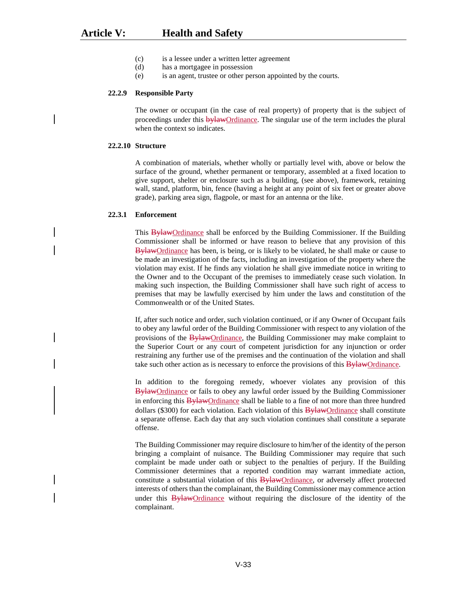- (c) is a lessee under a written letter agreement
- (d) has a mortgagee in possession
- (e) is an agent, trustee or other person appointed by the courts.

#### **22.2.9 Responsible Party**

The owner or occupant (in the case of real property) of property that is the subject of proceedings under this **bylaw**Ordinance. The singular use of the term includes the plural when the context so indicates.

# **22.2.10 Structure**

A combination of materials, whether wholly or partially level with, above or below the surface of the ground, whether permanent or temporary, assembled at a fixed location to give support, shelter or enclosure such as a building, (see above), framework, retaining wall, stand, platform, bin, fence (having a height at any point of six feet or greater above grade), parking area sign, flagpole, or mast for an antenna or the like.

# **22.3.1 Enforcement**

This BylawOrdinance shall be enforced by the Building Commissioner. If the Building Commissioner shall be informed or have reason to believe that any provision of this BylawOrdinance has been, is being, or is likely to be violated, he shall make or cause to be made an investigation of the facts, including an investigation of the property where the violation may exist. If he finds any violation he shall give immediate notice in writing to the Owner and to the Occupant of the premises to immediately cease such violation. In making such inspection, the Building Commissioner shall have such right of access to premises that may be lawfully exercised by him under the laws and constitution of the Commonwealth or of the United States.

If, after such notice and order, such violation continued, or if any Owner of Occupant fails to obey any lawful order of the Building Commissioner with respect to any violation of the provisions of the **BylawOrdinance**, the Building Commissioner may make complaint to the Superior Court or any court of competent jurisdiction for any injunction or order restraining any further use of the premises and the continuation of the violation and shall take such other action as is necessary to enforce the provisions of this **Bylaw**Ordinance.

In addition to the foregoing remedy, whoever violates any provision of this BylawOrdinance or fails to obey any lawful order issued by the Building Commissioner in enforcing this BylawOrdinance shall be liable to a fine of not more than three hundred dollars (\$300) for each violation. Each violation of this  $\frac{B \gamma law}{O}$  ordinance shall constitute a separate offense. Each day that any such violation continues shall constitute a separate offense.

The Building Commissioner may require disclosure to him/her of the identity of the person bringing a complaint of nuisance. The Building Commissioner may require that such complaint be made under oath or subject to the penalties of perjury. If the Building Commissioner determines that a reported condition may warrant immediate action, constitute a substantial violation of this **BylawOrdinance**, or adversely affect protected interests of others than the complainant, the Building Commissioner may commence action under this BylawOrdinance without requiring the disclosure of the identity of the complainant.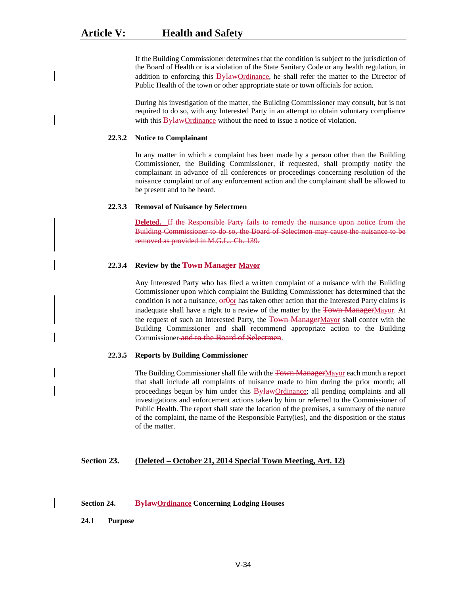If the Building Commissioner determines that the condition is subject to the jurisdiction of the Board of Health or is a violation of the State Sanitary Code or any health regulation, in addition to enforcing this **BylawOrdinance**, he shall refer the matter to the Director of Public Health of the town or other appropriate state or town officials for action.

During his investigation of the matter, the Building Commissioner may consult, but is not required to do so, with any Interested Party in an attempt to obtain voluntary compliance with this **BylawOrdinance** without the need to issue a notice of violation.

#### **22.3.2 Notice to Complainant**

In any matter in which a complaint has been made by a person other than the Building Commissioner, the Building Commissioner, if requested, shall promptly notify the complainant in advance of all conferences or proceedings concerning resolution of the nuisance complaint or of any enforcement action and the complainant shall be allowed to be present and to be heard.

#### **22.3.3 Removal of Nuisance by Selectmen**

**Deleted.** If the Responsible Party fails to remedy the nuisance upon notice from the Building Commissioner to do so, the Board of Selectmen may cause the nuisance to be removed as provided in M.G.L., Ch. 139.

#### **22.3.4 Review by the Town Manager Mayor**

Any Interested Party who has filed a written complaint of a nuisance with the Building Commissioner upon which complaint the Building Commissioner has determined that the condition is not a nuisance,  $\theta$  or has taken other action that the Interested Party claims is inadequate shall have a right to a review of the matter by the Town ManagerMayor. At the request of such an Interested Party, the Town ManagerMayor shall confer with the Building Commissioner and shall recommend appropriate action to the Building Commissioner and to the Board of Selectmen.

#### **22.3.5 Reports by Building Commissioner**

The Building Commissioner shall file with the Town ManagerMayor each month a report that shall include all complaints of nuisance made to him during the prior month; all proceedings begun by him under this **BylawOrdinance**; all pending complaints and all investigations and enforcement actions taken by him or referred to the Commissioner of Public Health. The report shall state the location of the premises, a summary of the nature of the complaint, the name of the Responsible Party(ies), and the disposition or the status of the matter.

#### **Section 23. (Deleted – October 21, 2014 Special Town Meeting, Art. 12)**

# **Section 24. BylawOrdinance Concerning Lodging Houses**

**24.1 Purpose**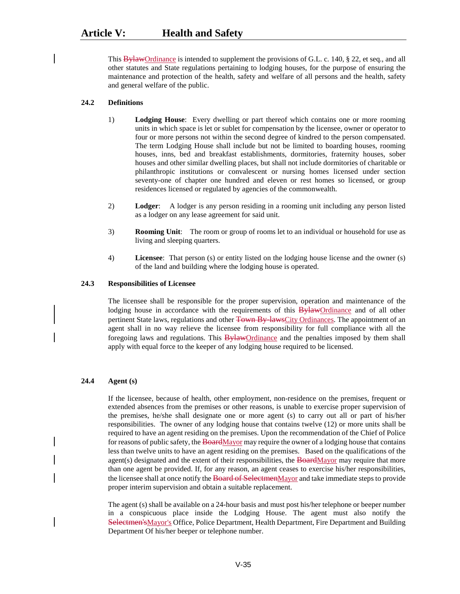This  $\frac{B\gamma A}{W}$  Ordinance is intended to supplement the provisions of G.L. c. 140, § 22, et seq., and all other statutes and State regulations pertaining to lodging houses, for the purpose of ensuring the maintenance and protection of the health, safety and welfare of all persons and the health, safety and general welfare of the public.

# **24.2 Definitions**

- 1) **Lodging House**: Every dwelling or part thereof which contains one or more rooming units in which space is let or sublet for compensation by the licensee, owner or operator to four or more persons not within the second degree of kindred to the person compensated. The term Lodging House shall include but not be limited to boarding houses, rooming houses, inns, bed and breakfast establishments, dormitories, fraternity houses, sober houses and other similar dwelling places, but shall not include dormitories of charitable or philanthropic institutions or convalescent or nursing homes licensed under section seventy-one of chapter one hundred and eleven or rest homes so licensed, or group residences licensed or regulated by agencies of the commonwealth.
- 2) **Lodger**: A lodger is any person residing in a rooming unit including any person listed as a lodger on any lease agreement for said unit.
- 3) **Rooming Unit**: The room or group of rooms let to an individual or household for use as living and sleeping quarters.
- 4) **Licensee**: That person (s) or entity listed on the lodging house license and the owner (s) of the land and building where the lodging house is operated.

### **24.3 Responsibilities of Licensee**

The licensee shall be responsible for the proper supervision, operation and maintenance of the lodging house in accordance with the requirements of this **Bylaw**Ordinance and of all other pertinent State laws, regulations and other Town By-lawsCity Ordinances. The appointment of an agent shall in no way relieve the licensee from responsibility for full compliance with all the foregoing laws and regulations. This **Bylaw**Ordinance and the penalties imposed by them shall apply with equal force to the keeper of any lodging house required to be licensed.

# **24.4 Agent (s)**

If the licensee, because of health, other employment, non-residence on the premises, frequent or extended absences from the premises or other reasons, is unable to exercise proper supervision of the premises, he/she shall designate one or more agent (s) to carry out all or part of his/her responsibilities. The owner of any lodging house that contains twelve (12) or more units shall be required to have an agent residing on the premises. Upon the recommendation of the Chief of Police for reasons of public safety, the BoardMayor may require the owner of a lodging house that contains less than twelve units to have an agent residing on the premises. Based on the qualifications of the agent(s) designated and the extent of their responsibilities, the  $\overline{Board}$ Mayor may require that more than one agent be provided. If, for any reason, an agent ceases to exercise his/her responsibilities, the licensee shall at once notify the Board of SelectmenMayor and take immediate steps to provide proper interim supervision and obtain a suitable replacement.

The agent (s) shall be available on a 24-hour basis and must post his/her telephone or beeper number in a conspicuous place inside the Lodging House. The agent must also notify the Selectmen'sMayor's Office, Police Department, Health Department, Fire Department and Building Department Of his/her beeper or telephone number.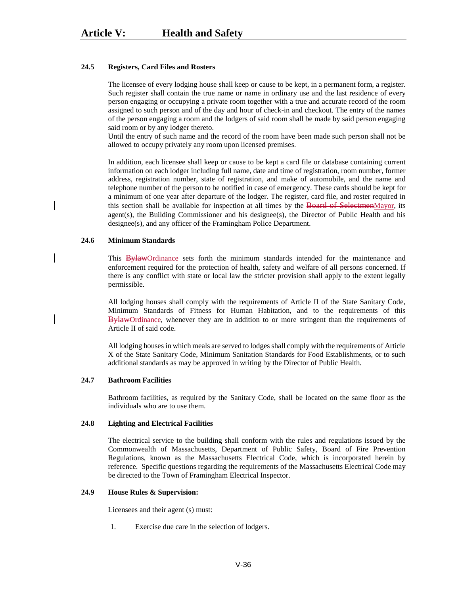#### **24.5 Registers, Card Files and Rosters**

The licensee of every lodging house shall keep or cause to be kept, in a permanent form, a register. Such register shall contain the true name or name in ordinary use and the last residence of every person engaging or occupying a private room together with a true and accurate record of the room assigned to such person and of the day and hour of check-in and checkout. The entry of the names of the person engaging a room and the lodgers of said room shall be made by said person engaging said room or by any lodger thereto.

Until the entry of such name and the record of the room have been made such person shall not be allowed to occupy privately any room upon licensed premises.

In addition, each licensee shall keep or cause to be kept a card file or database containing current information on each lodger including full name, date and time of registration, room number, former address, registration number, state of registration, and make of automobile, and the name and telephone number of the person to be notified in case of emergency. These cards should be kept for a minimum of one year after departure of the lodger. The register, card file, and roster required in this section shall be available for inspection at all times by the Board of SelectmenMayor, its agent(s), the Building Commissioner and his designee(s), the Director of Public Health and his designee(s), and any officer of the Framingham Police Department.

#### **24.6 Minimum Standards**

This BylawOrdinance sets forth the minimum standards intended for the maintenance and enforcement required for the protection of health, safety and welfare of all persons concerned. If there is any conflict with state or local law the stricter provision shall apply to the extent legally permissible.

All lodging houses shall comply with the requirements of Article II of the State Sanitary Code, Minimum Standards of Fitness for Human Habitation, and to the requirements of this BylawOrdinance, whenever they are in addition to or more stringent than the requirements of Article II of said code.

All lodging houses in which meals are served to lodges shall comply with the requirements of Article X of the State Sanitary Code, Minimum Sanitation Standards for Food Establishments, or to such additional standards as may be approved in writing by the Director of Public Health.

# **24.7 Bathroom Facilities**

Bathroom facilities, as required by the Sanitary Code, shall be located on the same floor as the individuals who are to use them.

#### **24.8 Lighting and Electrical Facilities**

The electrical service to the building shall conform with the rules and regulations issued by the Commonwealth of Massachusetts, Department of Public Safety, Board of Fire Prevention Regulations, known as the Massachusetts Electrical Code, which is incorporated herein by reference. Specific questions regarding the requirements of the Massachusetts Electrical Code may be directed to the Town of Framingham Electrical Inspector.

#### **24.9 House Rules & Supervision:**

Licensees and their agent (s) must:

1. Exercise due care in the selection of lodgers.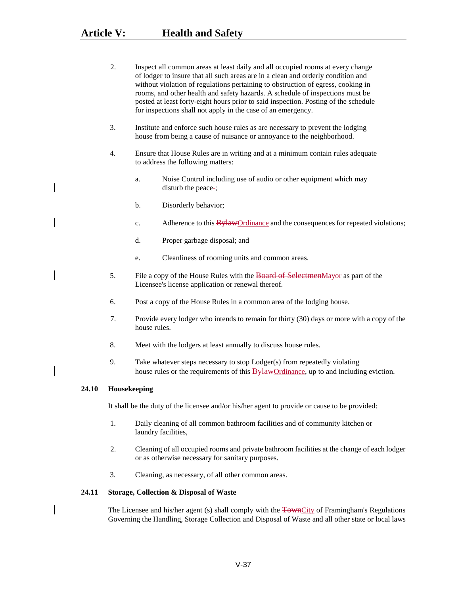|       | 2.           | Inspect all common areas at least daily and all occupied rooms at every change<br>of lodger to insure that all such areas are in a clean and orderly condition and<br>without violation of regulations pertaining to obstruction of egress, cooking in<br>rooms, and other health and safety hazards. A schedule of inspections must be<br>posted at least forty-eight hours prior to said inspection. Posting of the schedule<br>for inspections shall not apply in the case of an emergency. |  |
|-------|--------------|------------------------------------------------------------------------------------------------------------------------------------------------------------------------------------------------------------------------------------------------------------------------------------------------------------------------------------------------------------------------------------------------------------------------------------------------------------------------------------------------|--|
|       | 3.           | Institute and enforce such house rules as are necessary to prevent the lodging<br>house from being a cause of nuisance or annoyance to the neighborhood.                                                                                                                                                                                                                                                                                                                                       |  |
|       | 4.           | Ensure that House Rules are in writing and at a minimum contain rules adequate<br>to address the following matters:                                                                                                                                                                                                                                                                                                                                                                            |  |
|       |              | Noise Control including use of audio or other equipment which may<br>a.<br>disturb the peace-;                                                                                                                                                                                                                                                                                                                                                                                                 |  |
|       |              | b.<br>Disorderly behavior;                                                                                                                                                                                                                                                                                                                                                                                                                                                                     |  |
|       |              | Adherence to this <b>BylawOrdinance</b> and the consequences for repeated violations;<br>c.                                                                                                                                                                                                                                                                                                                                                                                                    |  |
|       |              | d.<br>Proper garbage disposal; and                                                                                                                                                                                                                                                                                                                                                                                                                                                             |  |
|       |              | Cleanliness of rooming units and common areas.<br>e.                                                                                                                                                                                                                                                                                                                                                                                                                                           |  |
|       | 5.           | File a copy of the House Rules with the Board of SelectmenMayor as part of the<br>Licensee's license application or renewal thereof.<br>Post a copy of the House Rules in a common area of the lodging house.<br>Provide every lodger who intends to remain for thirty (30) days or more with a copy of the<br>house rules.<br>Meet with the lodgers at least annually to discuss house rules.                                                                                                 |  |
|       | 6.           |                                                                                                                                                                                                                                                                                                                                                                                                                                                                                                |  |
|       | 7.           |                                                                                                                                                                                                                                                                                                                                                                                                                                                                                                |  |
|       | 8.           |                                                                                                                                                                                                                                                                                                                                                                                                                                                                                                |  |
|       | 9.           | Take whatever steps necessary to stop Lodger(s) from repeatedly violating<br>house rules or the requirements of this BylawOrdinance, up to and including eviction.                                                                                                                                                                                                                                                                                                                             |  |
| 24.10 | Housekeeping |                                                                                                                                                                                                                                                                                                                                                                                                                                                                                                |  |
|       |              | It shall be the duty of the licensee and/or his/her agent to provide or cause to be provided:                                                                                                                                                                                                                                                                                                                                                                                                  |  |
|       | 1.           | Daily cleaning of all common bathroom facilities and of community kitchen or<br>laundry facilities,                                                                                                                                                                                                                                                                                                                                                                                            |  |
|       |              | Cleaning of all coguniad reams and miusto bethroom facilities at the shapes of each ladger                                                                                                                                                                                                                                                                                                                                                                                                     |  |

- 2. Cleaning of all occupied rooms and private bathroom facilities at the change of each lodger or as otherwise necessary for sanitary purposes.
- 3. Cleaning, as necessary, of all other common areas.

# **24.11 Storage, Collection & Disposal of Waste**

The Licensee and his/her agent (s) shall comply with the TownCity of Framingham's Regulations Governing the Handling, Storage Collection and Disposal of Waste and all other state or local laws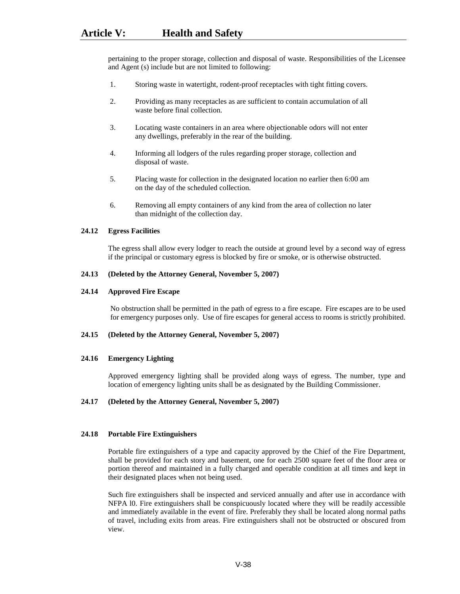pertaining to the proper storage, collection and disposal of waste. Responsibilities of the Licensee and Agent (s) include but are not limited to following:

- 1. Storing waste in watertight, rodent-proof receptacles with tight fitting covers.
- 2. Providing as many receptacles as are sufficient to contain accumulation of all waste before final collection.
- 3. Locating waste containers in an area where objectionable odors will not enter any dwellings, preferably in the rear of the building.
- 4. Informing all lodgers of the rules regarding proper storage, collection and disposal of waste.
- 5. Placing waste for collection in the designated location no earlier then 6:00 am on the day of the scheduled collection.
- 6. Removing all empty containers of any kind from the area of collection no later than midnight of the collection day.

### **24.12 Egress Facilities**

The egress shall allow every lodger to reach the outside at ground level by a second way of egress if the principal or customary egress is blocked by fire or smoke, or is otherwise obstructed.

### **24.13 (Deleted by the Attorney General, November 5, 2007)**

#### **24.14 Approved Fire Escape**

No obstruction shall be permitted in the path of egress to a fire escape. Fire escapes are to be used for emergency purposes only. Use of fire escapes for general access to rooms is strictly prohibited.

# **24.15 (Deleted by the Attorney General, November 5, 2007)**

### **24.16 Emergency Lighting**

Approved emergency lighting shall be provided along ways of egress. The number, type and location of emergency lighting units shall be as designated by the Building Commissioner.

#### **24.17 (Deleted by the Attorney General, November 5, 2007)**

#### **24.18 Portable Fire Extinguishers**

Portable fire extinguishers of a type and capacity approved by the Chief of the Fire Department, shall be provided for each story and basement, one for each 2500 square feet of the floor area or portion thereof and maintained in a fully charged and operable condition at all times and kept in their designated places when not being used.

Such fire extinguishers shall be inspected and serviced annually and after use in accordance with NFPA l0. Fire extinguishers shall be conspicuously located where they will be readily accessible and immediately available in the event of fire. Preferably they shall be located along normal paths of travel, including exits from areas. Fire extinguishers shall not be obstructed or obscured from view.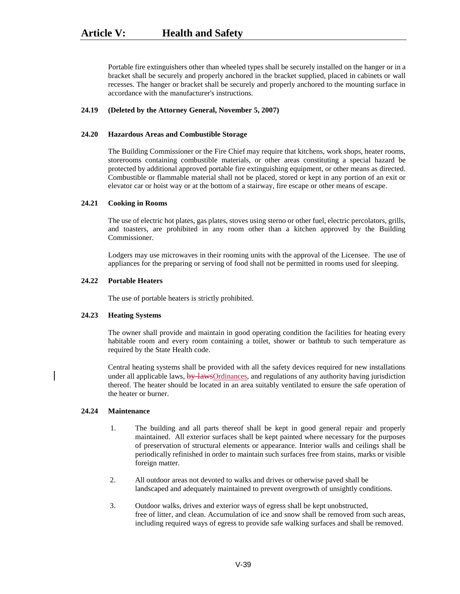Portable fire extinguishers other than wheeled types shall be securely installed on the hanger or in a bracket shall be securely and properly anchored in the bracket supplied, placed in cabinets or wall recesses. The hanger or bracket shall be securely and properly anchored to the mounting surface in accordance with the manufacturer's instructions.

### **24.19 (Deleted by the Attorney General, November 5, 2007)**

#### **24.20 Hazardous Areas and Combustible Storage**

The Building Commissioner or the Fire Chief may require that kitchens, work shops, heater rooms, storerooms containing combustible materials, or other areas constituting a special hazard be protected by additional approved portable fire extinguishing equipment, or other means as directed. Combustible or flammable material shall not be placed, stored or kept in any portion of an exit or elevator car or hoist way or at the bottom of a stairway, fire escape or other means of escape.

### **24.21 Cooking in Rooms**

The use of electric hot plates, gas plates, stoves using sterno or other fuel, electric percolators, grills, and toasters, are prohibited in any room other than a kitchen approved by the Building Commissioner.

Lodgers may use microwaves in their rooming units with the approval of the Licensee. The use of appliances for the preparing or serving of food shall not be permitted in rooms used for sleeping.

# **24.22 Portable Heaters**

The use of portable heaters is strictly prohibited.

#### **24.23 Heating Systems**

The owner shall provide and maintain in good operating condition the facilities for heating every habitable room and every room containing a toilet, shower or bathtub to such temperature as required by the State Health code.

Central heating systems shall be provided with all the safety devices required for new installations under all applicable laws,  $\frac{by\;lawsOrdinances}{}$ , and regulations of any authority having jurisdiction thereof. The heater should be located in an area suitably ventilated to ensure the safe operation of the heater or burner.

# **24.24 Maintenance**

- 1. The building and all parts thereof shall be kept in good general repair and properly maintained. All exterior surfaces shall be kept painted where necessary for the purposes of preservation of structural elements or appearance. Interior walls and ceilings shall be periodically refinished in order to maintain such surfaces free from stains, marks or visible foreign matter.
- 2. All outdoor areas not devoted to walks and drives or otherwise paved shall be landscaped and adequately maintained to prevent overgrowth of unsightly conditions.
- 3. Outdoor walks, drives and exterior ways of egress shall be kept unobstructed, free of litter, and clean. Accumulation of ice and snow shall be removed from such areas, including required ways of egress to provide safe walking surfaces and shall be removed.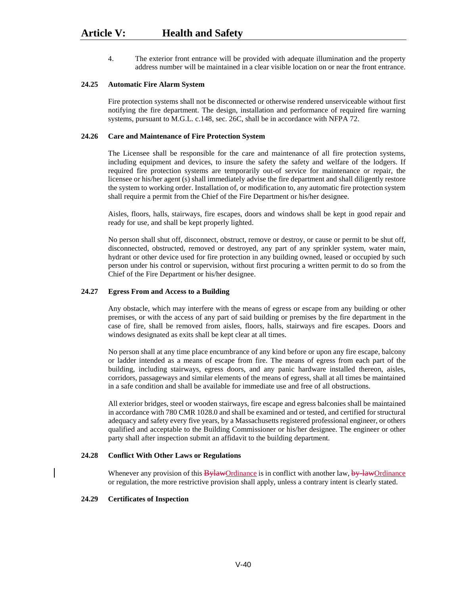4. The exterior front entrance will be provided with adequate illumination and the property address number will be maintained in a clear visible location on or near the front entrance.

#### **24.25 Automatic Fire Alarm System**

Fire protection systems shall not be disconnected or otherwise rendered unserviceable without first notifying the fire department. The design, installation and performance of required fire warning systems, pursuant to M.G.L. c.148, sec. 26C, shall be in accordance with NFPA 72.

# **24.26 Care and Maintenance of Fire Protection System**

The Licensee shall be responsible for the care and maintenance of all fire protection systems, including equipment and devices, to insure the safety the safety and welfare of the lodgers. If required fire protection systems are temporarily out-of service for maintenance or repair, the licensee or his/her agent (s) shall immediately advise the fire department and shall diligently restore the system to working order. Installation of, or modification to, any automatic fire protection system shall require a permit from the Chief of the Fire Department or his/her designee.

Aisles, floors, halls, stairways, fire escapes, doors and windows shall be kept in good repair and ready for use, and shall be kept properly lighted.

No person shall shut off, disconnect, obstruct, remove or destroy, or cause or permit to be shut off, disconnected, obstructed, removed or destroyed, any part of any sprinkler system, water main, hydrant or other device used for fire protection in any building owned, leased or occupied by such person under his control or supervision, without first procuring a written permit to do so from the Chief of the Fire Department or his/her designee.

#### **24.27 Egress From and Access to a Building**

Any obstacle, which may interfere with the means of egress or escape from any building or other premises, or with the access of any part of said building or premises by the fire department in the case of fire, shall be removed from aisles, floors, halls, stairways and fire escapes. Doors and windows designated as exits shall be kept clear at all times.

No person shall at any time place encumbrance of any kind before or upon any fire escape, balcony or ladder intended as a means of escape from fire. The means of egress from each part of the building, including stairways, egress doors, and any panic hardware installed thereon, aisles, corridors, passageways and similar elements of the means of egress, shall at all times be maintained in a safe condition and shall be available for immediate use and free of all obstructions.

All exterior bridges, steel or wooden stairways, fire escape and egress balconies shall be maintained in accordance with 780 CMR 1028.0 and shall be examined and or tested, and certified for structural adequacy and safety every five years, by a Massachusetts registered professional engineer, or others qualified and acceptable to the Building Commissioner or his/her designee. The engineer or other party shall after inspection submit an affidavit to the building department.

#### **24.28 Conflict With Other Laws or Regulations**

Whenever any provision of this  $\frac{By lawOrd}_2$  ordinance is in conflict with another law, by lawOrdinance or regulation, the more restrictive provision shall apply, unless a contrary intent is clearly stated.

#### **24.29 Certificates of Inspection**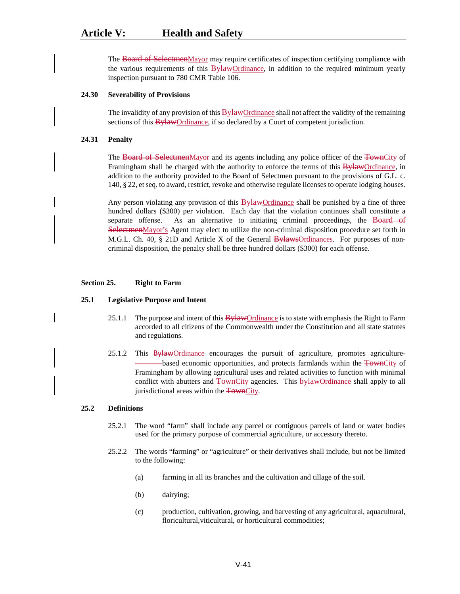The Board of SelectmenMayor may require certificates of inspection certifying compliance with the various requirements of this **BylawOrdinance**, in addition to the required minimum yearly inspection pursuant to 780 CMR Table 106.

## **24.30 Severability of Provisions**

The invalidity of any provision of this **Bylaw**Ordinance shall not affect the validity of the remaining sections of this **Bylaw**Ordinance, if so declared by a Court of competent jurisdiction.

#### **24.31 Penalty**

The Board of SelectmenMayor and its agents including any police officer of the TownCity of Framingham shall be charged with the authority to enforce the terms of this  $\frac{B \gamma H}{B \gamma H}$  ordinance, in addition to the authority provided to the Board of Selectmen pursuant to the provisions of G.L. c. 140, § 22, et seq. to award, restrict, revoke and otherwise regulate licenses to operate lodging houses.

Any person violating any provision of this **Bylaw**Ordinance shall be punished by a fine of three hundred dollars (\$300) per violation. Each day that the violation continues shall constitute a separate offense. As an alternative to initiating criminal proceedings, the Board of SelectmenMayor's Agent may elect to utilize the non-criminal disposition procedure set forth in M.G.L. Ch. 40,  $\S$  21D and Article X of the General BylawsOrdinances. For purposes of noncriminal disposition, the penalty shall be three hundred dollars (\$300) for each offense.

#### **Section 25. Right to Farm**

#### **25.1 Legislative Purpose and Intent**

- 25.1.1 The purpose and intent of this **Bylaw**Ordinance is to state with emphasis the Right to Farm accorded to all citizens of the Commonwealth under the Constitution and all state statutes and regulations.
- 25.1.2 This **Bylaw**Ordinance encourages the pursuit of agriculture, promotes agriculturebased economic opportunities, and protects farmlands within the TownCity of Framingham by allowing agricultural uses and related activities to function with minimal conflict with abutters and TownCity agencies. This bylawOrdinance shall apply to all jurisdictional areas within the TownCity.

#### **25.2 Definitions**

- 25.2.1 The word "farm" shall include any parcel or contiguous parcels of land or water bodies used for the primary purpose of commercial agriculture, or accessory thereto.
- 25.2.2 The words "farming" or "agriculture" or their derivatives shall include, but not be limited to the following:
	- (a) farming in all its branches and the cultivation and tillage of the soil.
	- (b) dairying;
	- (c) production, cultivation, growing, and harvesting of any agricultural, aquacultural, floricultural, viticultural, or horticultural commodities;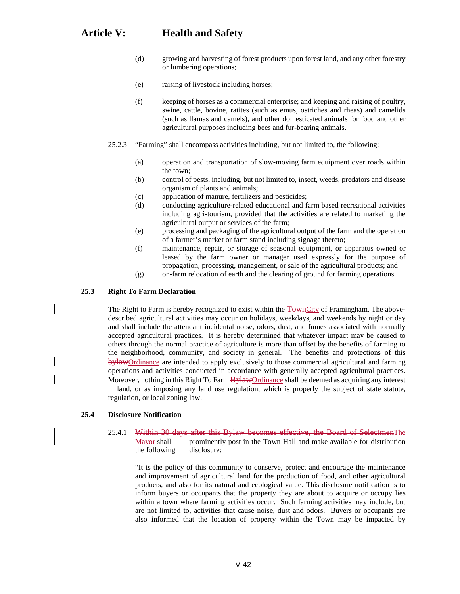- (d) growing and harvesting of forest products upon forest land, and any other forestry or lumbering operations;
- (e) raising of livestock including horses;
- (f) keeping of horses as a commercial enterprise; and keeping and raising of poultry, swine, cattle, bovine, ratites (such as emus, ostriches and rheas) and camelids (such as llamas and camels), and other domesticated animals for food and other agricultural purposes including bees and fur-bearing animals.
- 25.2.3 "Farming" shall encompass activities including, but not limited to, the following:
	- (a) operation and transportation of slow-moving farm equipment over roads within the town;
	- (b) control of pests, including, but not limited to, insect, weeds, predators and disease organism of plants and animals;
	- (c) application of manure, fertilizers and pesticides;
	- (d) conducting agriculture-related educational and farm based recreational activities including agri-tourism, provided that the activities are related to marketing the agricultural output or services of the farm;
	- (e) processing and packaging of the agricultural output of the farm and the operation of a farmer's market or farm stand including signage thereto;
	- (f) maintenance, repair, or storage of seasonal equipment, or apparatus owned or leased by the farm owner or manager used expressly for the purpose of propagation, processing, management, or sale of the agricultural products; and
	- (g) on-farm relocation of earth and the clearing of ground for farming operations.

### **25.3 Right To Farm Declaration**

The Right to Farm is hereby recognized to exist within the TownCity of Framingham. The abovedescribed agricultural activities may occur on holidays, weekdays, and weekends by night or day and shall include the attendant incidental noise, odors, dust, and fumes associated with normally accepted agricultural practices. It is hereby determined that whatever impact may be caused to others through the normal practice of agriculture is more than offset by the benefits of farming to the neighborhood, community, and society in general. The benefits and protections of this by law Ordinance are intended to apply exclusively to those commercial agricultural and farming operations and activities conducted in accordance with generally accepted agricultural practices. Moreover, nothing in this Right To Farm **Bylaw**Ordinance shall be deemed as acquiring any interest in land, or as imposing any land use regulation, which is properly the subject of state statute, regulation, or local zoning law.

# **25.4 Disclosure Notification**

# 25.4.1 Within 30 days after this Bylaw becomes effective, the Board of SelectmenThe Mayor shall prominently post in the Town Hall and make available for distribution the following -disclosure:

"It is the policy of this community to conserve, protect and encourage the maintenance and improvement of agricultural land for the production of food, and other agricultural products, and also for its natural and ecological value. This disclosure notification is to inform buyers or occupants that the property they are about to acquire or occupy lies within a town where farming activities occur. Such farming activities may include, but are not limited to, activities that cause noise, dust and odors. Buyers or occupants are also informed that the location of property within the Town may be impacted by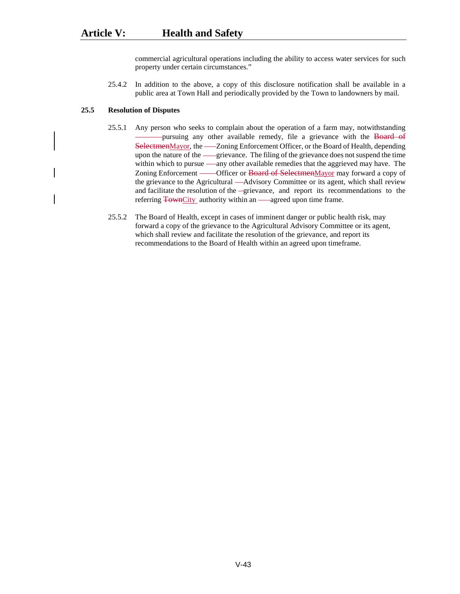commercial agricultural operations including the ability to access water services for such property under certain circumstances."

25.4.2 In addition to the above, a copy of this disclosure notification shall be available in a public area at Town Hall and periodically provided by the Town to landowners by mail.

### **25.5 Resolution of Disputes**

- 25.5.1 Any person who seeks to complain about the operation of a farm may, notwithstanding pursuing any other available remedy, file a grievance with the Board of SelectmenMayor, the — Zoning Enforcement Officer, or the Board of Health, depending upon the nature of the ----grievance. The filing of the grievance does not suspend the time within which to pursue —any other available remedies that the aggrieved may have. The Zoning Enforcement ——Officer or Board of SelectmenMayor may forward a copy of the grievance to the Agricultural —Advisory Committee or its agent, which shall review and facilitate the resolution of the -grievance, and report its recommendations to the referring **TownCity** authority within an — agreed upon time frame.
- 25.5.2 The Board of Health, except in cases of imminent danger or public health risk, may forward a copy of the grievance to the Agricultural Advisory Committee or its agent, which shall review and facilitate the resolution of the grievance, and report its recommendations to the Board of Health within an agreed upon timeframe.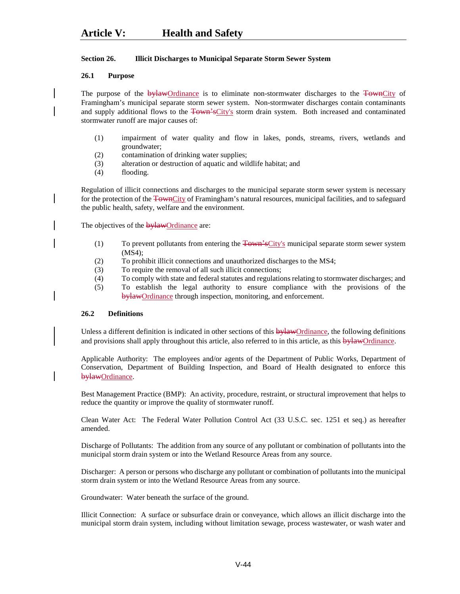# **Section 26. Illicit Discharges to Municipal Separate Storm Sewer System**

# **26.1 Purpose**

The purpose of the bylawOrdinance is to eliminate non-stormwater discharges to the TownCity of Framingham's municipal separate storm sewer system. Non-stormwater discharges contain contaminants and supply additional flows to the Town'sCity's storm drain system. Both increased and contaminated stormwater runoff are major causes of:

- (1) impairment of water quality and flow in lakes, ponds, streams, rivers, wetlands and groundwater;
- (2) contamination of drinking water supplies;
- (3) alteration or destruction of aquatic and wildlife habitat; and
- (4) flooding.

Regulation of illicit connections and discharges to the municipal separate storm sewer system is necessary for the protection of the TownCity of Framingham's natural resources, municipal facilities, and to safeguard the public health, safety, welfare and the environment.

The objectives of the **bylaw**Ordinance are:

- (1) To prevent pollutants from entering the  $\frac{1}{4}$  Town's City's municipal separate storm sewer system (MS4);
- (2) To prohibit illicit connections and unauthorized discharges to the MS4;
- (3) To require the removal of all such illicit connections;
- (4) To comply with state and federal statutes and regulations relating to stormwater discharges; and
- (5) To establish the legal authority to ensure compliance with the provisions of the bylawOrdinance through inspection, monitoring, and enforcement.

# **26.2 Definitions**

Unless a different definition is indicated in other sections of this **bylawOrdinance**, the following definitions and provisions shall apply throughout this article, also referred to in this article, as this  $\frac{b \cdot \text{H}}{d}$  ordinance.

Applicable Authority: The employees and/or agents of the Department of Public Works, Department of Conservation, Department of Building Inspection, and Board of Health designated to enforce this bylawOrdinance.

Best Management Practice (BMP): An activity, procedure, restraint, or structural improvement that helps to reduce the quantity or improve the quality of stormwater runoff.

Clean Water Act: The Federal Water Pollution Control Act (33 U.S.C. sec. 1251 et seq.) as hereafter amended.

Discharge of Pollutants: The addition from any source of any pollutant or combination of pollutants into the municipal storm drain system or into the Wetland Resource Areas from any source.

Discharger: A person or persons who discharge any pollutant or combination of pollutants into the municipal storm drain system or into the Wetland Resource Areas from any source.

Groundwater: Water beneath the surface of the ground.

Illicit Connection: A surface or subsurface drain or conveyance, which allows an illicit discharge into the municipal storm drain system, including without limitation sewage, process wastewater, or wash water and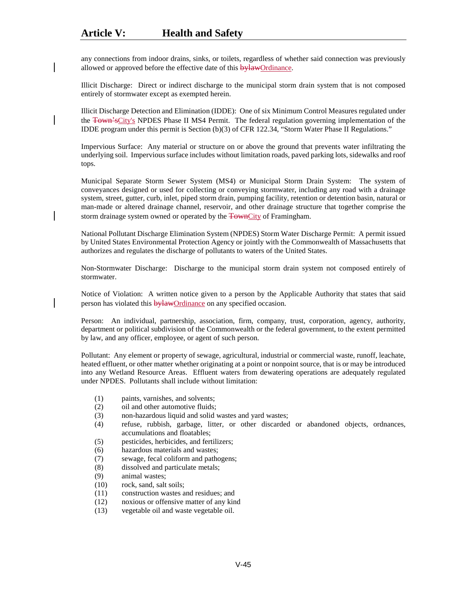any connections from indoor drains, sinks, or toilets, regardless of whether said connection was previously allowed or approved before the effective date of this **bylaw**Ordinance.

Illicit Discharge: Direct or indirect discharge to the municipal storm drain system that is not composed entirely of stormwater except as exempted herein.

Illicit Discharge Detection and Elimination (IDDE): One of six Minimum Control Measures regulated under the Town'sCity's NPDES Phase II MS4 Permit. The federal regulation governing implementation of the IDDE program under this permit is Section (b)(3) of CFR 122.34, "Storm Water Phase II Regulations."

Impervious Surface: Any material or structure on or above the ground that prevents water infiltrating the underlying soil. Impervious surface includes without limitation roads, paved parking lots, sidewalks and roof tops.

Municipal Separate Storm Sewer System (MS4) or Municipal Storm Drain System: The system of conveyances designed or used for collecting or conveying stormwater, including any road with a drainage system, street, gutter, curb, inlet, piped storm drain, pumping facility, retention or detention basin, natural or man-made or altered drainage channel, reservoir, and other drainage structure that together comprise the storm drainage system owned or operated by the **TownCity** of Framingham.

National Pollutant Discharge Elimination System (NPDES) Storm Water Discharge Permit: A permit issued by United States Environmental Protection Agency or jointly with the Commonwealth of Massachusetts that authorizes and regulates the discharge of pollutants to waters of the United States.

Non-Stormwater Discharge: Discharge to the municipal storm drain system not composed entirely of stormwater.

Notice of Violation: A written notice given to a person by the Applicable Authority that states that said person has violated this **bylawOrdinance** on any specified occasion.

Person: An individual, partnership, association, firm, company, trust, corporation, agency, authority, department or political subdivision of the Commonwealth or the federal government, to the extent permitted by law, and any officer, employee, or agent of such person.

Pollutant: Any element or property of sewage, agricultural, industrial or commercial waste, runoff, leachate, heated effluent, or other matter whether originating at a point or nonpoint source, that is or may be introduced into any Wetland Resource Areas. Effluent waters from dewatering operations are adequately regulated under NPDES. Pollutants shall include without limitation:

- (1) paints, varnishes, and solvents;
- (2) oil and other automotive fluids;
- (3) non-hazardous liquid and solid wastes and yard wastes;
- (4) refuse, rubbish, garbage, litter, or other discarded or abandoned objects, ordnances, accumulations and floatables;
- (5) pesticides, herbicides, and fertilizers;
- (6) hazardous materials and wastes;
- (7) sewage, fecal coliform and pathogens;
- (8) dissolved and particulate metals;
- (9) animal wastes;
- (10) rock, sand, salt soils;
- (11) construction wastes and residues; and
- (12) noxious or offensive matter of any kind
- (13) vegetable oil and waste vegetable oil.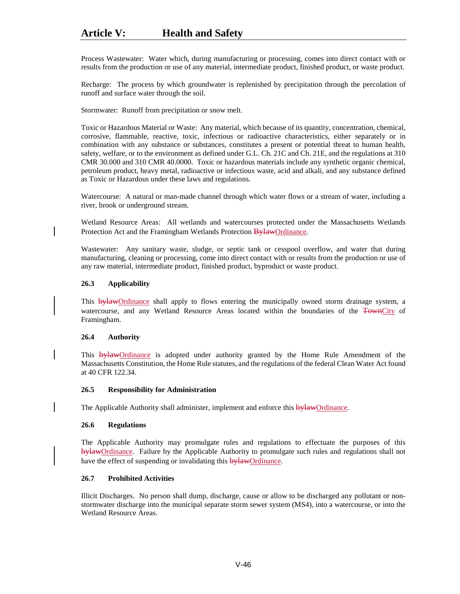Process Wastewater: Water which, during manufacturing or processing, comes into direct contact with or results from the production or use of any material, intermediate product, finished product, or waste product.

Recharge: The process by which groundwater is replenished by precipitation through the percolation of runoff and surface water through the soil.

Stormwater: Runoff from precipitation or snow melt.

Toxic or Hazardous Material or Waste: Any material, which because of its quantity, concentration, chemical, corrosive, flammable, reactive, toxic, infectious or radioactive characteristics, either separately or in combination with any substance or substances, constitutes a present or potential threat to human health, safety, welfare, or to the environment as defined under G.L. Ch. 21C and Ch. 21E, and the regulations at 310 CMR 30.000 and 310 CMR 40.0000. Toxic or hazardous materials include any synthetic organic chemical, petroleum product, heavy metal, radioactive or infectious waste, acid and alkali, and any substance defined as Toxic or Hazardous under these laws and regulations.

Watercourse: A natural or man-made channel through which water flows or a stream of water, including a river, brook or underground stream.

Wetland Resource Areas: All wetlands and watercourses protected under the Massachusetts Wetlands Protection Act and the Framingham Wetlands Protection **BylawOrdinance**.

Wastewater: Any sanitary waste, sludge, or septic tank or cesspool overflow, and water that during manufacturing, cleaning or processing, come into direct contact with or results from the production or use of any raw material, intermediate product, finished product, byproduct or waste product.

# **26.3 Applicability**

This **bylawOrdinance** shall apply to flows entering the municipally owned storm drainage system, a watercourse, and any Wetland Resource Areas located within the boundaries of the TownCity of Framingham.

#### **26.4 Authority**

This bylawOrdinance is adopted under authority granted by the Home Rule Amendment of the Massachusetts Constitution, the Home Rule statutes, and the regulations of the federal Clean Water Act found at 40 CFR 122.34.

#### **26.5 Responsibility for Administration**

The Applicable Authority shall administer, implement and enforce this bylawOrdinance.

# **26.6 Regulations**

The Applicable Authority may promulgate rules and regulations to effectuate the purposes of this bylawOrdinance. Failure by the Applicable Authority to promulgate such rules and regulations shall not have the effect of suspending or invalidating this **bylaw**Ordinance.

# **26.7 Prohibited Activities**

Illicit Discharges. No person shall dump, discharge, cause or allow to be discharged any pollutant or nonstormwater discharge into the municipal separate storm sewer system (MS4), into a watercourse, or into the Wetland Resource Areas.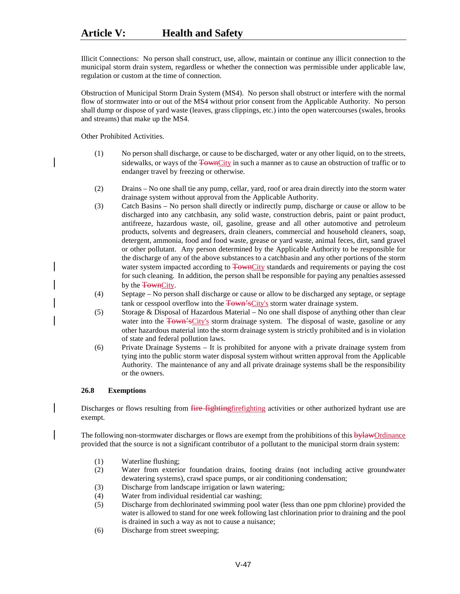Illicit Connections: No person shall construct, use, allow, maintain or continue any illicit connection to the municipal storm drain system, regardless or whether the connection was permissible under applicable law, regulation or custom at the time of connection.

Obstruction of Municipal Storm Drain System (MS4). No person shall obstruct or interfere with the normal flow of stormwater into or out of the MS4 without prior consent from the Applicable Authority. No person shall dump or dispose of yard waste (leaves, grass clippings, etc.) into the open watercourses (swales, brooks and streams) that make up the MS4.

Other Prohibited Activities.

- (1) No person shall discharge, or cause to be discharged, water or any other liquid, on to the streets, sidewalks, or ways of the TownCity in such a manner as to cause an obstruction of traffic or to endanger travel by freezing or otherwise.
- (2) Drains No one shall tie any pump, cellar, yard, roof or area drain directly into the storm water drainage system without approval from the Applicable Authority.
- (3) Catch Basins No person shall directly or indirectly pump, discharge or cause or allow to be discharged into any catchbasin, any solid waste, construction debris, paint or paint product, antifreeze, hazardous waste, oil, gasoline, grease and all other automotive and petroleum products, solvents and degreasers, drain cleaners, commercial and household cleaners, soap, detergent, ammonia, food and food waste, grease or yard waste, animal feces, dirt, sand gravel or other pollutant. Any person determined by the Applicable Authority to be responsible for the discharge of any of the above substances to a catchbasin and any other portions of the storm water system impacted according to TownCity standards and requirements or paying the cost for such cleaning. In addition, the person shall be responsible for paying any penalties assessed by the **Town**City.
- (4) Septage No person shall discharge or cause or allow to be discharged any septage, or septage tank or cesspool overflow into the **Town's**City's storm water drainage system.
- (5) Storage & Disposal of Hazardous Material No one shall dispose of anything other than clear water into the Town'sCity's storm drainage system. The disposal of waste, gasoline or any other hazardous material into the storm drainage system is strictly prohibited and is in violation of state and federal pollution laws.
- (6) Private Drainage Systems It is prohibited for anyone with a private drainage system from tying into the public storm water disposal system without written approval from the Applicable Authority. The maintenance of any and all private drainage systems shall be the responsibility or the owners.

# **26.8 Exemptions**

Discharges or flows resulting from *fire fightingfirefighting* activities or other authorized hydrant use are exempt.

The following non-stormwater discharges or flows are exempt from the prohibitions of this **bylaw**Ordinance provided that the source is not a significant contributor of a pollutant to the municipal storm drain system:

- (1) Waterline flushing;
- (2) Water from exterior foundation drains, footing drains (not including active groundwater dewatering systems), crawl space pumps, or air conditioning condensation;
- (3) Discharge from landscape irrigation or lawn watering;
- (4) Water from individual residential car washing;
- (5) Discharge from dechlorinated swimming pool water (less than one ppm chlorine) provided the water is allowed to stand for one week following last chlorination prior to draining and the pool is drained in such a way as not to cause a nuisance;
- (6) Discharge from street sweeping;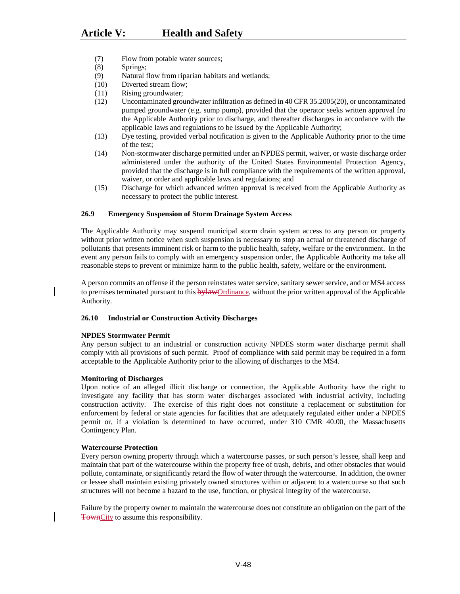- (7) Flow from potable water sources;
- (8) Springs;
- (9) Natural flow from riparian habitats and wetlands;
- (10) Diverted stream flow;
- (11) Rising groundwater;
- (12) Uncontaminated groundwater infiltration as defined in 40 CFR 35.2005(20), or uncontaminated pumped groundwater (e.g. sump pump), provided that the operator seeks written approval fro the Applicable Authority prior to discharge, and thereafter discharges in accordance with the applicable laws and regulations to be issued by the Applicable Authority;
- (13) Dye testing, provided verbal notification is given to the Applicable Authority prior to the time of the test;
- (14) Non-stormwater discharge permitted under an NPDES permit, waiver, or waste discharge order administered under the authority of the United States Environmental Protection Agency, provided that the discharge is in full compliance with the requirements of the written approval, waiver, or order and applicable laws and regulations; and
- (15) Discharge for which advanced written approval is received from the Applicable Authority as necessary to protect the public interest.

### **26.9 Emergency Suspension of Storm Drainage System Access**

The Applicable Authority may suspend municipal storm drain system access to any person or property without prior written notice when such suspension is necessary to stop an actual or threatened discharge of pollutants that presents imminent risk or harm to the public health, safety, welfare or the environment. In the event any person fails to comply with an emergency suspension order, the Applicable Authority ma take all reasonable steps to prevent or minimize harm to the public health, safety, welfare or the environment.

A person commits an offense if the person reinstates water service, sanitary sewer service, and or MS4 access to premises terminated pursuant to this bylawOrdinance, without the prior written approval of the Applicable Authority.

#### **26.10 Industrial or Construction Activity Discharges**

#### **NPDES Stormwater Permit**

Any person subject to an industrial or construction activity NPDES storm water discharge permit shall comply with all provisions of such permit. Proof of compliance with said permit may be required in a form acceptable to the Applicable Authority prior to the allowing of discharges to the MS4.

#### **Monitoring of Discharges**

Upon notice of an alleged illicit discharge or connection, the Applicable Authority have the right to investigate any facility that has storm water discharges associated with industrial activity, including construction activity. The exercise of this right does not constitute a replacement or substitution for enforcement by federal or state agencies for facilities that are adequately regulated either under a NPDES permit or, if a violation is determined to have occurred, under 310 CMR 40.00, the Massachusetts Contingency Plan.

#### **Watercourse Protection**

Every person owning property through which a watercourse passes, or such person's lessee, shall keep and maintain that part of the watercourse within the property free of trash, debris, and other obstacles that would pollute, contaminate, or significantly retard the flow of water through the watercourse. In addition, the owner or lessee shall maintain existing privately owned structures within or adjacent to a watercourse so that such structures will not become a hazard to the use, function, or physical integrity of the watercourse.

Failure by the property owner to maintain the watercourse does not constitute an obligation on the part of the TownCity to assume this responsibility.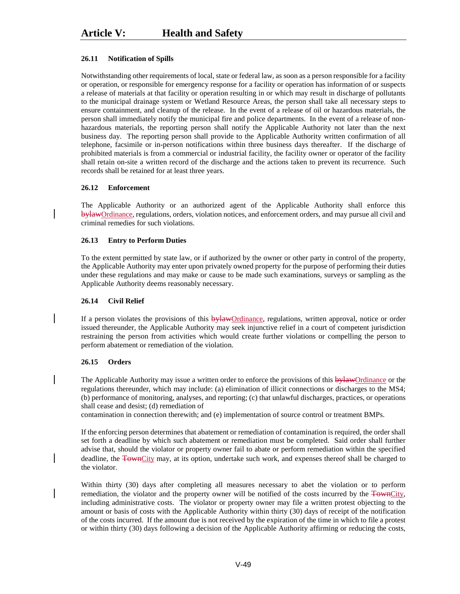# **26.11 Notification of Spills**

Notwithstanding other requirements of local, state or federal law, as soon as a person responsible for a facility or operation, or responsible for emergency response for a facility or operation has information of or suspects a release of materials at that facility or operation resulting in or which may result in discharge of pollutants to the municipal drainage system or Wetland Resource Areas, the person shall take all necessary steps to ensure containment, and cleanup of the release. In the event of a release of oil or hazardous materials, the person shall immediately notify the municipal fire and police departments. In the event of a release of nonhazardous materials, the reporting person shall notify the Applicable Authority not later than the next business day. The reporting person shall provide to the Applicable Authority written confirmation of all telephone, facsimile or in-person notifications within three business days thereafter. If the discharge of prohibited materials is from a commercial or industrial facility, the facility owner or operator of the facility shall retain on-site a written record of the discharge and the actions taken to prevent its recurrence. Such records shall be retained for at least three years.

# **26.12 Enforcement**

The Applicable Authority or an authorized agent of the Applicable Authority shall enforce this bylawOrdinance, regulations, orders, violation notices, and enforcement orders, and may pursue all civil and criminal remedies for such violations.

# **26.13 Entry to Perform Duties**

To the extent permitted by state law, or if authorized by the owner or other party in control of the property, the Applicable Authority may enter upon privately owned property for the purpose of performing their duties under these regulations and may make or cause to be made such examinations, surveys or sampling as the Applicable Authority deems reasonably necessary.

# **26.14 Civil Relief**

If a person violates the provisions of this bylawOrdinance, regulations, written approval, notice or order issued thereunder, the Applicable Authority may seek injunctive relief in a court of competent jurisdiction restraining the person from activities which would create further violations or compelling the person to perform abatement or remediation of the violation.

# **26.15 Orders**

The Applicable Authority may issue a written order to enforce the provisions of this bylawOrdinance or the regulations thereunder, which may include: (a) elimination of illicit connections or discharges to the MS4; (b) performance of monitoring, analyses, and reporting; (c) that unlawful discharges, practices, or operations shall cease and desist; (d) remediation of

contamination in connection therewith; and (e) implementation of source control or treatment BMPs.

If the enforcing person determines that abatement or remediation of contamination is required, the order shall set forth a deadline by which such abatement or remediation must be completed. Said order shall further advise that, should the violator or property owner fail to abate or perform remediation within the specified deadline, the TownCity may, at its option, undertake such work, and expenses thereof shall be charged to the violator.

Within thirty (30) days after completing all measures necessary to abet the violation or to perform remediation, the violator and the property owner will be notified of the costs incurred by the TownCity, including administrative costs. The violator or property owner may file a written protest objecting to the amount or basis of costs with the Applicable Authority within thirty (30) days of receipt of the notification of the costs incurred. If the amount due is not received by the expiration of the time in which to file a protest or within thirty (30) days following a decision of the Applicable Authority affirming or reducing the costs,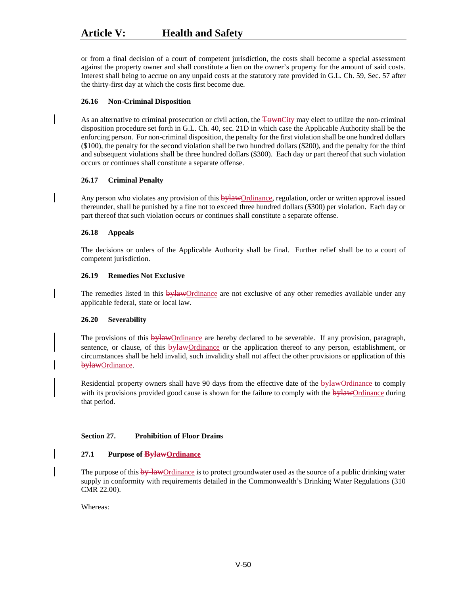or from a final decision of a court of competent jurisdiction, the costs shall become a special assessment against the property owner and shall constitute a lien on the owner's property for the amount of said costs. Interest shall being to accrue on any unpaid costs at the statutory rate provided in G.L. Ch. 59, Sec. 57 after the thirty-first day at which the costs first become due.

# **26.16 Non-Criminal Disposition**

As an alternative to criminal prosecution or civil action, the TownCity may elect to utilize the non-criminal disposition procedure set forth in G.L. Ch. 40, sec. 21D in which case the Applicable Authority shall be the enforcing person. For non-criminal disposition, the penalty for the first violation shall be one hundred dollars (\$100), the penalty for the second violation shall be two hundred dollars (\$200), and the penalty for the third and subsequent violations shall be three hundred dollars (\$300). Each day or part thereof that such violation occurs or continues shall constitute a separate offense.

### **26.17 Criminal Penalty**

Any person who violates any provision of this bylawOrdinance, regulation, order or written approval issued thereunder, shall be punished by a fine not to exceed three hundred dollars (\$300) per violation. Each day or part thereof that such violation occurs or continues shall constitute a separate offense.

# **26.18 Appeals**

The decisions or orders of the Applicable Authority shall be final. Further relief shall be to a court of competent jurisdiction.

### **26.19 Remedies Not Exclusive**

The remedies listed in this bylawOrdinance are not exclusive of any other remedies available under any applicable federal, state or local law.

# **26.20 Severability**

The provisions of this **bylaw**Ordinance are hereby declared to be severable. If any provision, paragraph, sentence, or clause, of this **bylaw**Ordinance or the application thereof to any person, establishment, or circumstances shall be held invalid, such invalidity shall not affect the other provisions or application of this bylawOrdinance.

Residential property owners shall have 90 days from the effective date of the bylawOrdinance to comply with its provisions provided good cause is shown for the failure to comply with the bylawOrdinance during that period.

# **Section 27. Prohibition of Floor Drains**

# **27.1 Purpose of BylawOrdinance**

The purpose of this by-lawOrdinance is to protect groundwater used as the source of a public drinking water supply in conformity with requirements detailed in the Commonwealth's Drinking Water Regulations (310 CMR 22.00).

Whereas: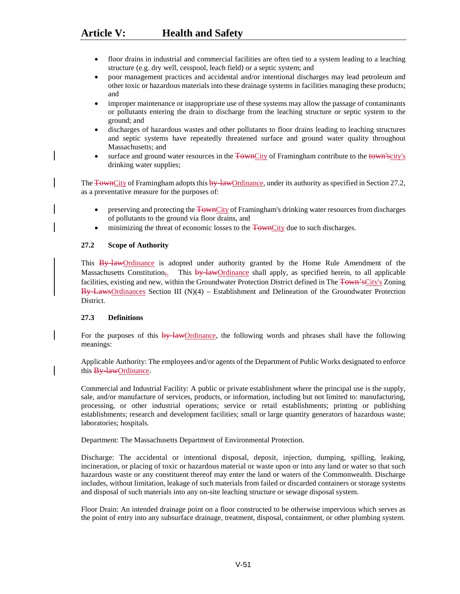- floor drains in industrial and commercial facilities are often tied to a system leading to a leaching structure (e.g. dry well, cesspool, leach field) or a septic system; and
- poor management practices and accidental and/or intentional discharges may lead petroleum and other toxic or hazardous materials into these drainage systems in facilities managing these products; and
- improper maintenance or inappropriate use of these systems may allow the passage of contaminants or pollutants entering the drain to discharge from the leaching structure or septic system to the ground; and
- discharges of hazardous wastes and other pollutants to floor drains leading to leaching structures and septic systems have repeatedly threatened surface and ground water quality throughout Massachusetts; and
- surface and ground water resources in the TownCity of Framingham contribute to the town'scity's drinking water supplies;

The TownCity of Framingham adopts this by lawOrdinance, under its authority as specified in Section 27.2, as a preventative measure for the purposes of:

- preserving and protecting the TownCity of Framingham's drinking water resources from discharges of pollutants to the ground via floor drains, and
- minimizing the threat of economic losses to the TownCity due to such discharges.

# **27.2 Scope of Authority**

This By-lawOrdinance is adopted under authority granted by the Home Rule Amendment of the Massachusetts Constitution<sub>7</sub>. This by law Ordinance shall apply, as specified herein, to all applicable facilities, existing and new, within the Groundwater Protection District defined in The Town'sCity's Zoning  $\overline{By}\overline{Law}S$ Ordinances Section III (N)(4) – Establishment and Delineation of the Groundwater Protection District.

# **27.3 Definitions**

For the purposes of this  $\frac{b}{v}$ -law-Ordinance, the following words and phrases shall have the following meanings:

Applicable Authority: The employees and/or agents of the Department of Public Works designated to enforce this **By-lawOrdinance**.

Commercial and Industrial Facility: A public or private establishment where the principal use is the supply, sale, and/or manufacture of services, products, or information, including but not limited to: manufacturing, processing, or other industrial operations; service or retail establishments; printing or publishing establishments; research and development facilities; small or large quantity generators of hazardous waste; laboratories; hospitals.

Department: The Massachusetts Department of Environmental Protection.

Discharge: The accidental or intentional disposal, deposit, injection, dumping, spilling, leaking, incineration, or placing of toxic or hazardous material or waste upon or into any land or water so that such hazardous waste or any constituent thereof may enter the land or waters of the Commonwealth. Discharge includes, without limitation, leakage of such materials from failed or discarded containers or storage systems and disposal of such materials into any on-site leaching structure or sewage disposal system.

Floor Drain: An intended drainage point on a floor constructed to be otherwise impervious which serves as the point of entry into any subsurface drainage, treatment, disposal, containment, or other plumbing system.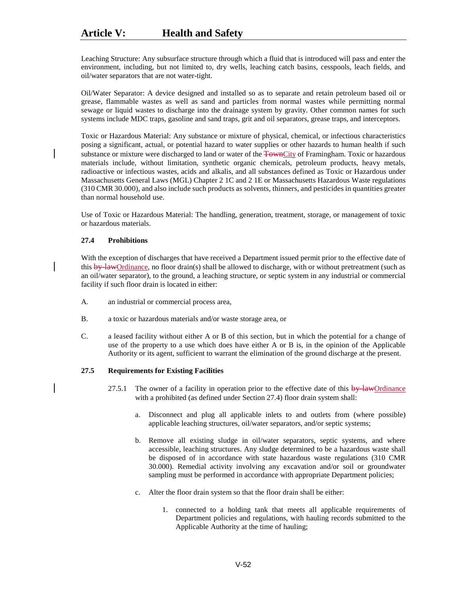Leaching Structure: Any subsurface structure through which a fluid that is introduced will pass and enter the environment, including, but not limited to, dry wells, leaching catch basins, cesspools, leach fields, and oil/water separators that are not water-tight.

Oil/Water Separator: A device designed and installed so as to separate and retain petroleum based oil or grease, flammable wastes as well as sand and particles from normal wastes while permitting normal sewage or liquid wastes to discharge into the drainage system by gravity. Other common names for such systems include MDC traps, gasoline and sand traps, grit and oil separators, grease traps, and interceptors.

Toxic or Hazardous Material: Any substance or mixture of physical, chemical, or infectious characteristics posing a significant, actual, or potential hazard to water supplies or other hazards to human health if such substance or mixture were discharged to land or water of the TownCity of Framingham. Toxic or hazardous materials include, without limitation, synthetic organic chemicals, petroleum products, heavy metals, radioactive or infectious wastes, acids and alkalis, and all substances defined as Toxic or Hazardous under Massachusetts General Laws (MGL) Chapter 2 1C and 2 1E or Massachusetts Hazardous Waste regulations (310 CMR 30.000), and also include such products as solvents, thinners, and pesticides in quantities greater than normal household use.

Use of Toxic or Hazardous Material: The handling, generation, treatment, storage, or management of toxic or hazardous materials.

### **27.4 Prohibitions**

With the exception of discharges that have received a Department issued permit prior to the effective date of this by-lawOrdinance, no floor drain(s) shall be allowed to discharge, with or without pretreatment (such as an oil/water separator), to the ground, a leaching structure, or septic system in any industrial or commercial facility if such floor drain is located in either:

- A. an industrial or commercial process area,
- B. a toxic or hazardous materials and/or waste storage area, or
- C. a leased facility without either A or B of this section, but in which the potential for a change of use of the property to a use which does have either A or B is, in the opinion of the Applicable Authority or its agent, sufficient to warrant the elimination of the ground discharge at the present.

# **27.5 Requirements for Existing Facilities**

- 27.5.1 The owner of a facility in operation prior to the effective date of this by-lawOrdinance with a prohibited (as defined under Section 27.4) floor drain system shall:
	- a. Disconnect and plug all applicable inlets to and outlets from (where possible) applicable leaching structures, oil/water separators, and/or septic systems;
	- b. Remove all existing sludge in oil/water separators, septic systems, and where accessible, leaching structures. Any sludge determined to be a hazardous waste shall be disposed of in accordance with state hazardous waste regulations (310 CMR 30.000). Remedial activity involving any excavation and/or soil or groundwater sampling must be performed in accordance with appropriate Department policies;
	- c. Alter the floor drain system so that the floor drain shall be either:
		- 1. connected to a holding tank that meets all applicable requirements of Department policies and regulations, with hauling records submitted to the Applicable Authority at the time of hauling;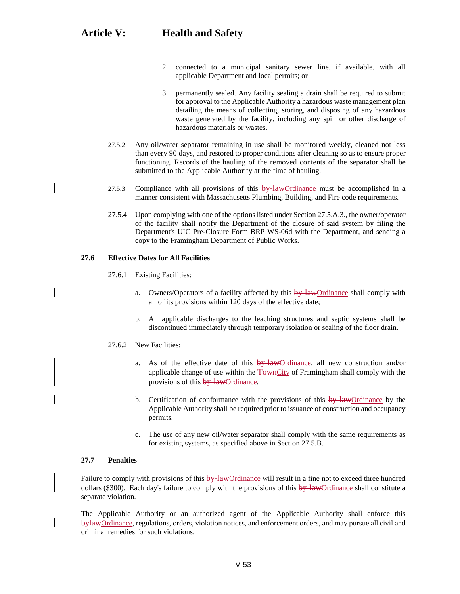- 2. connected to a municipal sanitary sewer line, if available, with all applicable Department and local permits; or
- 3. permanently sealed. Any facility sealing a drain shall be required to submit for approval to the Applicable Authority a hazardous waste management plan detailing the means of collecting, storing, and disposing of any hazardous waste generated by the facility, including any spill or other discharge of hazardous materials or wastes.
- 27.5.2 Any oil/water separator remaining in use shall be monitored weekly, cleaned not less than every 90 days, and restored to proper conditions after cleaning so as to ensure proper functioning. Records of the hauling of the removed contents of the separator shall be submitted to the Applicable Authority at the time of hauling.
- 27.5.3 Compliance with all provisions of this  $\frac{by\text{-}\mathrm{lawOrdinance}}{by\text{-}\mathrm{lawOrdinance}}$  must be accomplished in a manner consistent with Massachusetts Plumbing, Building, and Fire code requirements.
- 27.5.4 Upon complying with one of the options listed under Section 27.5.A.3., the owner/operator of the facility shall notify the Department of the closure of said system by filing the Department's UIC Pre-Closure Form BRP WS-06d with the Department, and sending a copy to the Framingham Department of Public Works.

# **27.6 Effective Dates for All Facilities**

- 27.6.1 Existing Facilities:
	- a. Owners/Operators of a facility affected by this  $\frac{by\text{-}lawOrdinance}{b}$  shall comply with all of its provisions within 120 days of the effective date;
	- b. All applicable discharges to the leaching structures and septic systems shall be discontinued immediately through temporary isolation or sealing of the floor drain.
- 27.6.2 New Facilities:
	- a. As of the effective date of this  $\frac{by\text{-}\mathrm{lawOrdinance}}{b}$ , all new construction and/or applicable change of use within the TownCity of Framingham shall comply with the provisions of this **by-law**Ordinance.
	- b. Certification of conformance with the provisions of this  $\frac{by\text{-}lawOrdinance}{by\text{-}limence}$ Applicable Authority shall be required prior to issuance of construction and occupancy permits.
	- c. The use of any new oil/water separator shall comply with the same requirements as for existing systems, as specified above in Section 27.5.B.

#### **27.7 Penalties**

Failure to comply with provisions of this by-lawOrdinance will result in a fine not to exceed three hundred dollars (\$300). Each day's failure to comply with the provisions of this by-lawOrdinance shall constitute a separate violation.

The Applicable Authority or an authorized agent of the Applicable Authority shall enforce this bylawOrdinance, regulations, orders, violation notices, and enforcement orders, and may pursue all civil and criminal remedies for such violations.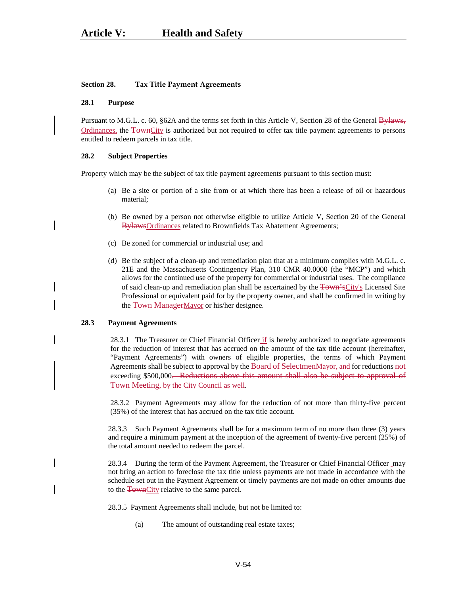#### **Section 28. Tax Title Payment Agreements**

#### **28.1 Purpose**

Pursuant to M.G.L. c. 60, §62A and the terms set forth in this Article V, Section 28 of the General Bylaws, Ordinances, the TownCity is authorized but not required to offer tax title payment agreements to persons entitled to redeem parcels in tax title.

#### **28.2 Subject Properties**

Property which may be the subject of tax title payment agreements pursuant to this section must:

- (a) Be a site or portion of a site from or at which there has been a release of oil or hazardous material;
- (b) Be owned by a person not otherwise eligible to utilize Article V, Section 20 of the General BylawsOrdinances related to Brownfields Tax Abatement Agreements;
- (c) Be zoned for commercial or industrial use; and
- (d) Be the subject of a clean-up and remediation plan that at a minimum complies with M.G.L. c. 21E and the Massachusetts Contingency Plan, 310 CMR 40.0000 (the "MCP") and which allows for the continued use of the property for commercial or industrial uses. The compliance of said clean-up and remediation plan shall be ascertained by the Town'sCity's Licensed Site Professional or equivalent paid for by the property owner, and shall be confirmed in writing by the Town ManagerMayor or his/her designee.

#### **28.3 Payment Agreements**

28.3.1 The Treasurer or Chief Financial Officer if is hereby authorized to negotiate agreements for the reduction of interest that has accrued on the amount of the tax title account (hereinafter, "Payment Agreements") with owners of eligible properties, the terms of which Payment Agreements shall be subject to approval by the Board of SelectmenMayor, and for reductions not exceeding \$500,000. Reductions above this amount shall also be subject to approval of Town Meeting, by the City Council as well.

28.3.2 Payment Agreements may allow for the reduction of not more than thirty-five percent (35%) of the interest that has accrued on the tax title account.

28.3.3 Such Payment Agreements shall be for a maximum term of no more than three (3) years and require a minimum payment at the inception of the agreement of twenty-five percent (25%) of the total amount needed to redeem the parcel.

28.3.4 During the term of the Payment Agreement, the Treasurer or Chief Financial Officer may not bring an action to foreclose the tax title unless payments are not made in accordance with the schedule set out in the Payment Agreement or timely payments are not made on other amounts due to the **TownCity** relative to the same parcel.

28.3.5 Payment Agreements shall include, but not be limited to:

(a) The amount of outstanding real estate taxes;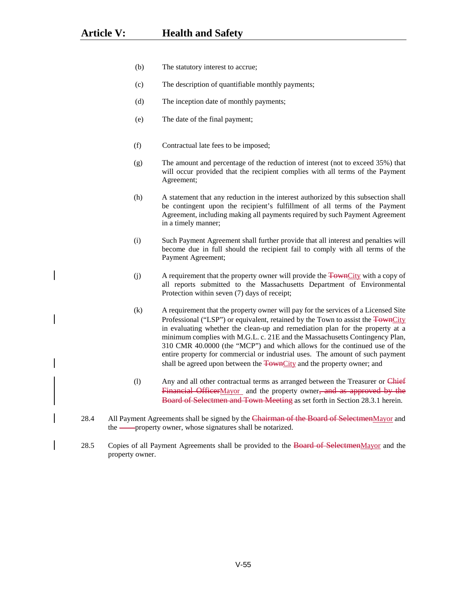- (b) The statutory interest to accrue;
- (c) The description of quantifiable monthly payments;
- (d) The inception date of monthly payments;
- (e) The date of the final payment;
- (f) Contractual late fees to be imposed;
- (g) The amount and percentage of the reduction of interest (not to exceed 35%) that will occur provided that the recipient complies with all terms of the Payment Agreement;
- (h) A statement that any reduction in the interest authorized by this subsection shall be contingent upon the recipient's fulfillment of all terms of the Payment Agreement, including making all payments required by such Payment Agreement in a timely manner;
- (i) Such Payment Agreement shall further provide that all interest and penalties will become due in full should the recipient fail to comply with all terms of the Payment Agreement;
- (j) A requirement that the property owner will provide the  $\frac{1}{\text{Fown} \text{City}}$  with a copy of all reports submitted to the Massachusetts Department of Environmental Protection within seven (7) days of receipt;
- (k) A requirement that the property owner will pay for the services of a Licensed Site Professional ("LSP") or equivalent, retained by the Town to assist the TownCity in evaluating whether the clean-up and remediation plan for the property at a minimum complies with M.G.L. c. 21E and the Massachusetts Contingency Plan, 310 CMR 40.0000 (the "MCP") and which allows for the continued use of the entire property for commercial or industrial uses. The amount of such payment shall be agreed upon between the **TownCity** and the property owner; and
- (1) Any and all other contractual terms as arranged between the Treasurer or Chief Financial OfficerMayor and the property owner<del>, and as approved by the</del> Board of Selectmen and Town Meeting as set forth in Section 28.3.1 herein.
- 28.4 All Payment Agreements shall be signed by the Chairman of the Board of SelectmenMayor and the <u>property</u> owner, whose signatures shall be notarized.
- 28.5 Copies of all Payment Agreements shall be provided to the Board of SelectmenMayor and the property owner.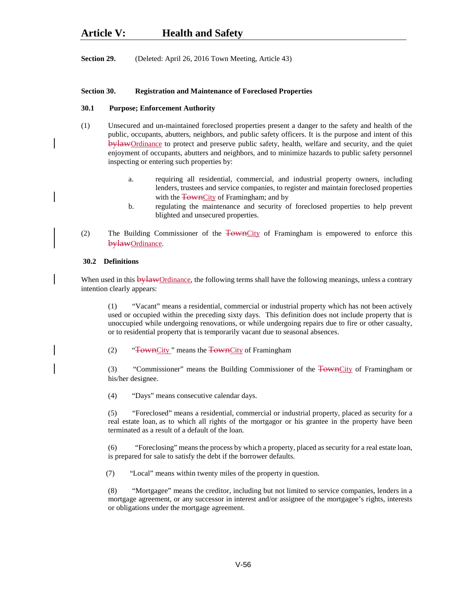**Section 29.** (Deleted: April 26, 2016 Town Meeting, Article 43)

# **Section 30. Registration and Maintenance of Foreclosed Properties**

### **30.1 Purpose; Enforcement Authority**

- (1) Unsecured and un-maintained foreclosed properties present a danger to the safety and health of the public, occupants, abutters, neighbors, and public safety officers. It is the purpose and intent of this bylawOrdinance to protect and preserve public safety, health, welfare and security, and the quiet enjoyment of occupants, abutters and neighbors, and to minimize hazards to public safety personnel inspecting or entering such properties by:
	- a. requiring all residential, commercial, and industrial property owners, including lenders, trustees and service companies, to register and maintain foreclosed properties with the TownCity of Framingham; and by
	- b. regulating the maintenance and security of foreclosed properties to help prevent blighted and unsecured properties.
- (2) The Building Commissioner of the TownCity of Framingham is empowered to enforce this bylawOrdinance.

### **30.2 Definitions**

When used in this **bylaw**Ordinance, the following terms shall have the following meanings, unless a contrary intention clearly appears:

(1) "Vacant" means a residential, commercial or industrial property which has not been actively used or occupied within the preceding sixty days. This definition does not include property that is unoccupied while undergoing renovations, or while undergoing repairs due to fire or other casualty, or to residential property that is temporarily vacant due to seasonal absences.

(2) "TownCity" means the TownCity of Framingham

(3) "Commissioner" means the Building Commissioner of the TownCity of Framingham or his/her designee.

(4) "Days" means consecutive calendar days.

(5) "Foreclosed" means a residential, commercial or industrial property, placed as security for a real estate loan, as to which all rights of the mortgagor or his grantee in the property have been terminated as a result of a default of the loan.

(6) "Foreclosing" means the process by which a property, placed as security for a real estate loan, is prepared for sale to satisfy the debt if the borrower defaults.

(7) "Local" means within twenty miles of the property in question.

(8) "Mortgagee" means the creditor, including but not limited to service companies, lenders in a mortgage agreement, or any successor in interest and/or assignee of the mortgagee's rights, interests or obligations under the mortgage agreement.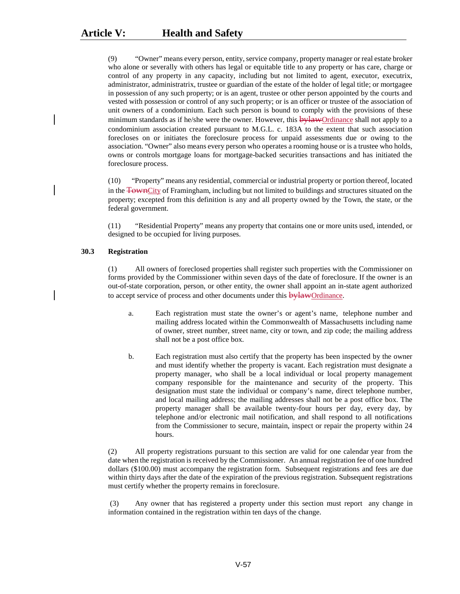(9) "Owner" means every person, entity, service company, property manager or real estate broker who alone or severally with others has legal or equitable title to any property or has care, charge or control of any property in any capacity, including but not limited to agent, executor, executrix, administrator, administratrix, trustee or guardian of the estate of the holder of legal title; or mortgagee in possession of any such property; or is an agent, trustee or other person appointed by the courts and vested with possession or control of any such property; or is an officer or trustee of the association of unit owners of a condominium. Each such person is bound to comply with the provisions of these minimum standards as if he/she were the owner. However, this **bylaw**Ordinance shall not apply to a condominium association created pursuant to M.G.L. c. 183A to the extent that such association forecloses on or initiates the foreclosure process for unpaid assessments due or owing to the association. "Owner" also means every person who operates a rooming house or is a trustee who holds, owns or controls mortgage loans for mortgage-backed securities transactions and has initiated the foreclosure process.

(10) "Property" means any residential, commercial or industrial property or portion thereof, located in the TownCity of Framingham, including but not limited to buildings and structures situated on the property; excepted from this definition is any and all property owned by the Town, the state, or the federal government.

(11) "Residential Property" means any property that contains one or more units used, intended, or designed to be occupied for living purposes.

# **30.3 Registration**

(1) All owners of foreclosed properties shall register such properties with the Commissioner on forms provided by the Commissioner within seven days of the date of foreclosure. If the owner is an out-of-state corporation, person, or other entity, the owner shall appoint an in-state agent authorized to accept service of process and other documents under this **bylawOrdinance**.

- a. Each registration must state the owner's or agent's name, telephone number and mailing address located within the Commonwealth of Massachusetts including name of owner, street number, street name, city or town, and zip code; the mailing address shall not be a post office box.
- b. Each registration must also certify that the property has been inspected by the owner and must identify whether the property is vacant. Each registration must designate a property manager, who shall be a local individual or local property management company responsible for the maintenance and security of the property. This designation must state the individual or company's name, direct telephone number, and local mailing address; the mailing addresses shall not be a post office box. The property manager shall be available twenty-four hours per day, every day, by telephone and/or electronic mail notification, and shall respond to all notifications from the Commissioner to secure, maintain, inspect or repair the property within 24 hours.

(2) All property registrations pursuant to this section are valid for one calendar year from the date when the registration is received by the Commissioner. An annual registration fee of one hundred dollars (\$100.00) must accompany the registration form. Subsequent registrations and fees are due within thirty days after the date of the expiration of the previous registration. Subsequent registrations must certify whether the property remains in foreclosure.

(3) Any owner that has registered a property under this section must report any change in information contained in the registration within ten days of the change.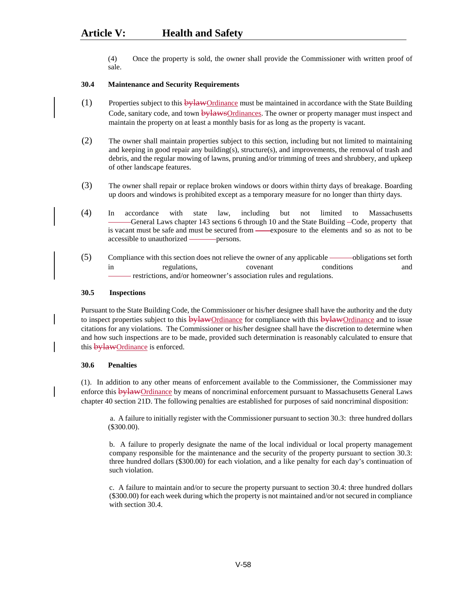(4)Once the property is sold, the owner shall provide the Commissioner with written proof of sale.

# **30.4 Maintenance and Security Requirements**

- $(1)$  Properties subject to this  $\frac{b \cdot \text{d} w}{c}$  Properties with the State Building Code, sanitary code, and town bylawsOrdinances. The owner or property manager must inspect and maintain the property on at least a monthly basis for as long as the property is vacant.
- (2) The owner shall maintain properties subject to this section, including but not limited to maintaining and keeping in good repair any building(s), structure(s), and improvements, the removal of trash and debris, and the regular mowing of lawns, pruning and/or trimming of trees and shrubbery, and upkeep of other landscape features.
- (3) The owner shall repair or replace broken windows or doors within thirty days of breakage. Boarding up doors and windows is prohibited except as a temporary measure for no longer than thirty days.
- (4) In accordance with state law, including but not limited to Massachusetts General Laws chapter 143 sections 6 through 10 and the State Building -Code, property that is vacant must be safe and must be secured from — exposure to the elements and so as not to be accessible to unauthorized persons.
- (5) Compliance with this section does not relieve the owner of any applicable —— obligations set forth in regulations, covenant conditions and restrictions, and/or homeowner's association rules and regulations.

# **30.5 Inspections**

Pursuant to the State Building Code, the Commissioner or his/her designee shall have the authority and the duty to inspect properties subject to this **bylawOrdinance** for compliance with this **bylawOrdinance** and to issue citations for any violations. The Commissioner or his/her designee shall have the discretion to determine when and how such inspections are to be made, provided such determination is reasonably calculated to ensure that this **bylawOrdinance** is enforced.

#### **30.6 Penalties**

(1). In addition to any other means of enforcement available to the Commissioner, the Commissioner may enforce this **bylaw**Ordinance by means of noncriminal enforcement pursuant to Massachusetts General Laws chapter 40 section 21D. The following penalties are established for purposes of said noncriminal disposition:

a. A failure to initially register with the Commissioner pursuant to section 30.3: three hundred dollars (\$300.00).

b. A failure to properly designate the name of the local individual or local property management company responsible for the maintenance and the security of the property pursuant to section 30.3: three hundred dollars (\$300.00) for each violation, and a like penalty for each day's continuation of such violation.

c. A failure to maintain and/or to secure the property pursuant to section 30.4: three hundred dollars (\$300.00) for each week during which the property is not maintained and/or not secured in compliance with section 30.4.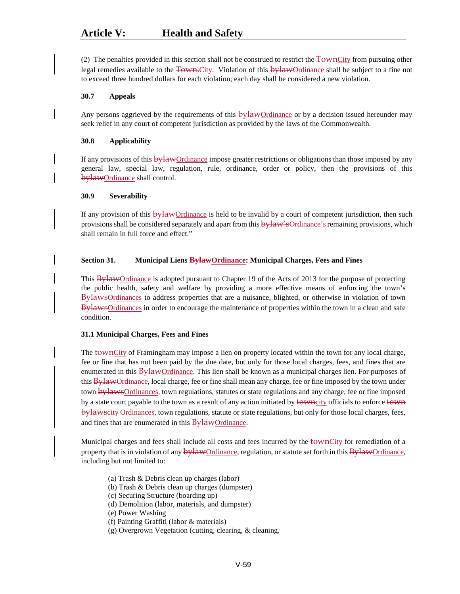(2) The penalties provided in this section shall not be construed to restrict the TownCity from pursuing other legal remedies available to the Town.City. Violation of this bylawOrdinance shall be subject to a fine not to exceed three hundred dollars for each violation; each day shall be considered a new violation.

# **30.7 Appeals**

Any persons aggrieved by the requirements of this  $\frac{b\mu\lambda wQr}{d\lambda wQr}$  or by a decision issued hereunder may seek relief in any court of competent jurisdiction as provided by the laws of the Commonwealth.

# **30.8 Applicability**

If any provisions of this  $\frac{b}{d}W$ Ordinance impose greater restrictions or obligations than those imposed by any general law, special law, regulation, rule, ordinance, order or policy, then the provisions of this bylawOrdinance shall control.

# **30.9 Severability**

If any provision of this **bylaw**Ordinance is held to be invalid by a court of competent jurisdiction, then such provisions shall be considered separately and apart from this  $\frac{1}{2}W + \frac{1}{2}W$  remaining provisions, which shall remain in full force and effect."

# **Section 31. Municipal Liens BylawOrdinance: Municipal Charges, Fees and Fines**

This BylawOrdinance is adopted pursuant to Chapter 19 of the Acts of 2013 for the purpose of protecting the public health, safety and welfare by providing a more effective means of enforcing the town's BylawsOrdinances to address properties that are a nuisance, blighted, or otherwise in violation of town BylawsOrdinances in order to encourage the maintenance of properties within the town in a clean and safe condition.

# **31.1 Municipal Charges, Fees and Fines**

The townCity of Framingham may impose a lien on property located within the town for any local charge, fee or fine that has not been paid by the due date, but only for those local charges, fees, and fines that are enumerated in this BylawOrdinance. This lien shall be known as a municipal charges lien. For purposes of this BylawOrdinance, local charge, fee or fine shall mean any charge, fee or fine imposed by the town under town bylawsOrdinances, town regulations, statutes or state regulations and any charge, fee or fine imposed by a state court payable to the town as a result of any action initiated by towncity officials to enforce town bylawscity Ordinances, town regulations, statute or state regulations, but only for those local charges, fees, and fines that are enumerated in this **BylawOrdinance**.

Municipal charges and fees shall include all costs and fees incurred by the townCity for remediation of a property that is in violation of any  $\frac{bylawOrdinance}{PylawOrdinance}$ , regulation, or statute set forth in this  $\frac{BylawOrdinance}{PylawOrdinance}$ including but not limited to:

(a) Trash & Debris clean up charges (labor)

(b) Trash & Debris clean up charges (dumpster)

(c) Securing Structure (boarding up)

- (d) Demolition (labor, materials, and dumpster)
- (e) Power Washing
- (f) Painting Graffiti (labor & materials)
- (g) Overgrown Vegetation (cutting, clearing, & cleaning.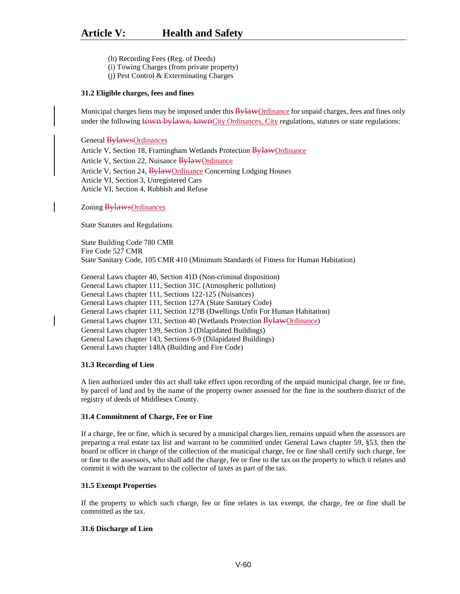- (h) Recording Fees (Reg. of Deeds)
- (i) Towing Charges (from private property)
- (j) Pest Control & Exterminating Charges

#### **31.2 Eligible charges, fees and fines**

Municipal charges liens may be imposed under this **Bylaw**Ordinance for unpaid charges, fees and fines only under the following town bylaws, townCity Ordinances, City regulations, statutes or state regulations:

General BylawsOrdinances

Article V, Section 18, Framingham Wetlands Protection BylawOrdinance Article V, Section 22, Nuisance BylawOrdinance Article V, Section 24, BylawOrdinance Concerning Lodging Houses Article VI, Section 3, Unregistered Cars Article VI, Section 4, Rubbish and Refuse

Zoning BylawsOrdinances

State Statutes and Regulations

State Building Code 780 CMR Fire Code 527 CMR State Sanitary Code, 105 CMR 410 (Minimum Standards of Fitness for Human Habitation)

General Laws chapter 40, Section 41D (Non-criminal disposition) General Laws chapter 111, Section 31C (Atmospheric pollution) General Laws chapter 111, Sections 122-125 (Nuisances) General Laws chapter 111, Section 127A (State Sanitary Code) General Laws chapter 111, Section 127B (Dwellings Unfit For Human Habitation) General Laws chapter 131, Section 40 (Wetlands Protection BylawOrdinance) General Laws chapter 139, Section 3 (Dilapidated Buildings) General Laws chapter 143, Sections 6-9 (Dilapidated Buildings) General Laws chapter 148A (Building and Fire Code)

#### **31.3 Recording of Lien**

A lien authorized under this act shall take effect upon recording of the unpaid municipal charge, fee or fine, by parcel of land and by the name of the property owner assessed for the fine in the southern district of the registry of deeds of Middlesex County.

#### **31.4 Commitment of Charge, Fee or Fine**

If a charge, fee or fine, which is secured by a municipal charges lien, remains unpaid when the assessors are preparing a real estate tax list and warrant to be committed under General Laws chapter 59, §53, then the board or officer in charge of the collection of the municipal charge, fee or fine shall certify such charge, fee or fine to the assessors, who shall add the charge, fee or fine to the tax on the property to which it relates and commit it with the warrant to the collector of taxes as part of the tax.

#### **31.5 Exempt Properties**

If the property to which such charge, fee or fine relates is tax exempt, the charge, fee or fine shall be committed as the tax.

#### **31.6 Discharge of Lien**